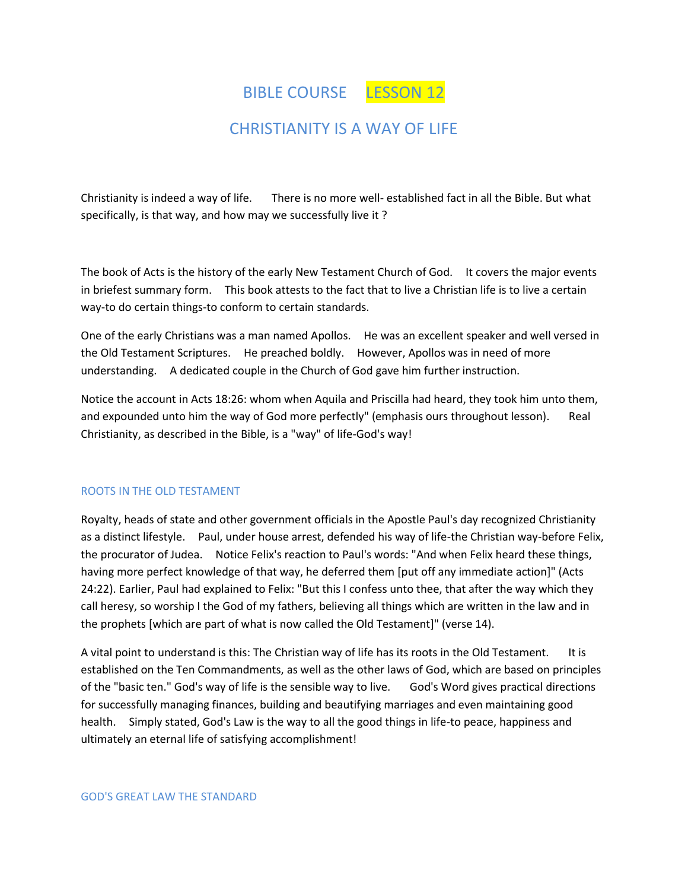BIBLE COURSE LESSON 12

# CHRISTIANITY IS A WAY OF LIFE

Christianity is indeed a way of life. There is no more well- established fact in all the Bible. But what specifically, is that way, and how may we successfully live it ?

The book of Acts is the history of the early New Testament Church of God. It covers the major events in briefest summary form. This book attests to the fact that to live a Christian life is to live a certain way-to do certain things-to conform to certain standards.

One of the early Christians was a man named Apollos. He was an excellent speaker and well versed in the Old Testament Scriptures. He preached boldly. However, Apollos was in need of more understanding. A dedicated couple in the Church of God gave him further instruction.

Notice the account in Acts 18:26: whom when Aquila and Priscilla had heard, they took him unto them, and expounded unto him the way of God more perfectly" (emphasis ours throughout lesson). Real Christianity, as described in the Bible, is a "way" of life-God's way!

#### ROOTS IN THE OLD TESTAMENT

Royalty, heads of state and other government officials in the Apostle Paul's day recognized Christianity as a distinct lifestyle. Paul, under house arrest, defended his way of life-the Christian way-before Felix, the procurator of Judea. Notice Felix's reaction to Paul's words: "And when Felix heard these things, having more perfect knowledge of that way, he deferred them [put off any immediate action]" (Acts 24:22). Earlier, Paul had explained to Felix: "But this I confess unto thee, that after the way which they call heresy, so worship I the God of my fathers, believing all things which are written in the law and in the prophets [which are part of what is now called the Old Testament]" (verse 14).

A vital point to understand is this: The Christian way of life has its roots in the Old Testament. It is established on the Ten Commandments, as well as the other laws of God, which are based on principles of the "basic ten." God's way of life is the sensible way to live. God's Word gives practical directions for successfully managing finances, building and beautifying marriages and even maintaining good health. Simply stated, God's Law is the way to all the good things in life-to peace, happiness and ultimately an eternal life of satisfying accomplishment!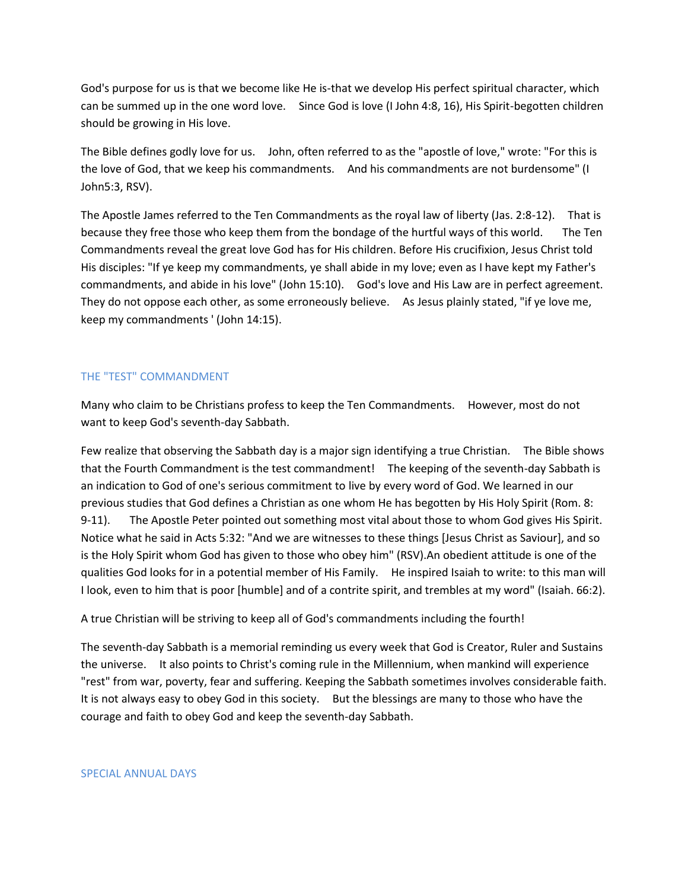God's purpose for us is that we become like He is-that we develop His perfect spiritual character, which can be summed up in the one word love. Since God is love (I John 4:8, 16), His Spirit-begotten children should be growing in His love.

The Bible defines godly love for us. John, often referred to as the "apostle of love," wrote: "For this is the love of God, that we keep his commandments. And his commandments are not burdensome" (I John5:3, RSV).

The Apostle James referred to the Ten Commandments as the royal law of liberty (Jas. 2:8-12). That is because they free those who keep them from the bondage of the hurtful ways of this world. The Ten Commandments reveal the great love God has for His children. Before His crucifixion, Jesus Christ told His disciples: "If ye keep my commandments, ye shall abide in my love; even as I have kept my Father's commandments, and abide in his love" (John 15:10). God's love and His Law are in perfect agreement. They do not oppose each other, as some erroneously believe. As Jesus plainly stated, "if ye love me, keep my commandments ' (John 14:15).

### THE "TEST" COMMANDMENT

Many who claim to be Christians profess to keep the Ten Commandments. However, most do not want to keep God's seventh-day Sabbath.

Few realize that observing the Sabbath day is a major sign identifying a true Christian. The Bible shows that the Fourth Commandment is the test commandment! The keeping of the seventh-day Sabbath is an indication to God of one's serious commitment to live by every word of God. We learned in our previous studies that God defines a Christian as one whom He has begotten by His Holy Spirit (Rom. 8: 9-11). The Apostle Peter pointed out something most vital about those to whom God gives His Spirit. Notice what he said in Acts 5:32: "And we are witnesses to these things [Jesus Christ as Saviour], and so is the Holy Spirit whom God has given to those who obey him" (RSV).An obedient attitude is one of the qualities God looks for in a potential member of His Family. He inspired Isaiah to write: to this man will I look, even to him that is poor [humble] and of a contrite spirit, and trembles at my word" (Isaiah. 66:2).

A true Christian will be striving to keep all of God's commandments including the fourth!

The seventh-day Sabbath is a memorial reminding us every week that God is Creator, Ruler and Sustains the universe. It also points to Christ's coming rule in the Millennium, when mankind will experience "rest" from war, poverty, fear and suffering. Keeping the Sabbath sometimes involves considerable faith. It is not always easy to obey God in this society. But the blessings are many to those who have the courage and faith to obey God and keep the seventh-day Sabbath.

#### SPECIAL ANNUAL DAYS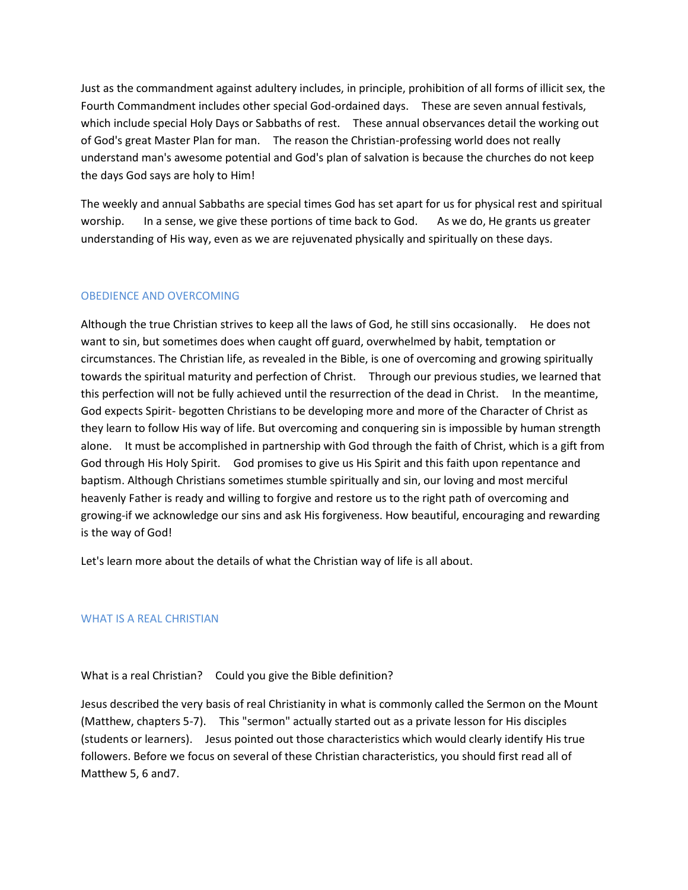Just as the commandment against adultery includes, in principle, prohibition of all forms of illicit sex, the Fourth Commandment includes other special God-ordained days. These are seven annual festivals, which include special Holy Days or Sabbaths of rest. These annual observances detail the working out of God's great Master Plan for man. The reason the Christian-professing world does not really understand man's awesome potential and God's plan of salvation is because the churches do not keep the days God says are holy to Him!

The weekly and annual Sabbaths are special times God has set apart for us for physical rest and spiritual worship. In a sense, we give these portions of time back to God. As we do, He grants us greater understanding of His way, even as we are rejuvenated physically and spiritually on these days.

### OBEDIENCE AND OVERCOMING

Although the true Christian strives to keep all the laws of God, he still sins occasionally. He does not want to sin, but sometimes does when caught off guard, overwhelmed by habit, temptation or circumstances. The Christian life, as revealed in the Bible, is one of overcoming and growing spiritually towards the spiritual maturity and perfection of Christ. Through our previous studies, we learned that this perfection will not be fully achieved until the resurrection of the dead in Christ. In the meantime, God expects Spirit- begotten Christians to be developing more and more of the Character of Christ as they learn to follow His way of life. But overcoming and conquering sin is impossible by human strength alone. It must be accomplished in partnership with God through the faith of Christ, which is a gift from God through His Holy Spirit. God promises to give us His Spirit and this faith upon repentance and baptism. Although Christians sometimes stumble spiritually and sin, our loving and most merciful heavenly Father is ready and willing to forgive and restore us to the right path of overcoming and growing-if we acknowledge our sins and ask His forgiveness. How beautiful, encouraging and rewarding is the way of God!

Let's learn more about the details of what the Christian way of life is all about.

#### WHAT IS A REAL CHRISTIAN

### What is a real Christian? Could you give the Bible definition?

Jesus described the very basis of real Christianity in what is commonly called the Sermon on the Mount (Matthew, chapters 5-7). This "sermon" actually started out as a private lesson for His disciples (students or learners). Jesus pointed out those characteristics which would clearly identify His true followers. Before we focus on several of these Christian characteristics, you should first read all of Matthew 5, 6 and7.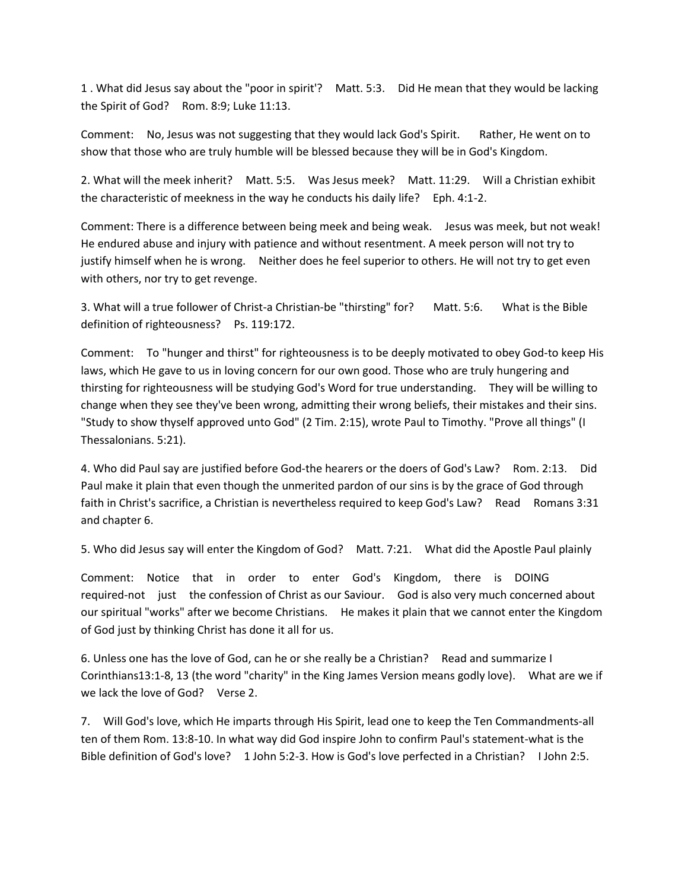1 . What did Jesus say about the "poor in spirit'? Matt. 5:3. Did He mean that they would be lacking the Spirit of God? Rom. 8:9; Luke 11:13.

Comment: No, Jesus was not suggesting that they would lack God's Spirit. Rather, He went on to show that those who are truly humble will be blessed because they will be in God's Kingdom.

2. What will the meek inherit? Matt. 5:5. Was Jesus meek? Matt. 11:29. Will a Christian exhibit the characteristic of meekness in the way he conducts his daily life? Eph. 4:1-2.

Comment: There is a difference between being meek and being weak. Jesus was meek, but not weak! He endured abuse and injury with patience and without resentment. A meek person will not try to justify himself when he is wrong. Neither does he feel superior to others. He will not try to get even with others, nor try to get revenge.

3. What will a true follower of Christ-a Christian-be "thirsting" for? Matt. 5:6. What is the Bible definition of righteousness? Ps. 119:172.

Comment: To "hunger and thirst" for righteousness is to be deeply motivated to obey God-to keep His laws, which He gave to us in loving concern for our own good. Those who are truly hungering and thirsting for righteousness will be studying God's Word for true understanding. They will be willing to change when they see they've been wrong, admitting their wrong beliefs, their mistakes and their sins. "Study to show thyself approved unto God" (2 Tim. 2:15), wrote Paul to Timothy. "Prove all things" (I Thessalonians. 5:21).

4. Who did Paul say are justified before God-the hearers or the doers of God's Law? Rom. 2:13. Did Paul make it plain that even though the unmerited pardon of our sins is by the grace of God through faith in Christ's sacrifice, a Christian is nevertheless required to keep God's Law? Read Romans 3:31 and chapter 6.

5. Who did Jesus say will enter the Kingdom of God? Matt. 7:21. What did the Apostle Paul plainly

Comment: Notice that in order to enter God's Kingdom, there is DOING required-not just the confession of Christ as our Saviour. God is also very much concerned about our spiritual "works" after we become Christians. He makes it plain that we cannot enter the Kingdom of God just by thinking Christ has done it all for us.

6. Unless one has the love of God, can he or she really be a Christian? Read and summarize I Corinthians13:1-8, 13 (the word "charity" in the King James Version means godly love). What are we if we lack the love of God? Verse 2.

7. Will God's love, which He imparts through His Spirit, lead one to keep the Ten Commandments-all ten of them Rom. 13:8-10. In what way did God inspire John to confirm Paul's statement-what is the Bible definition of God's love? 1 John 5:2-3. How is God's love perfected in a Christian? I John 2:5.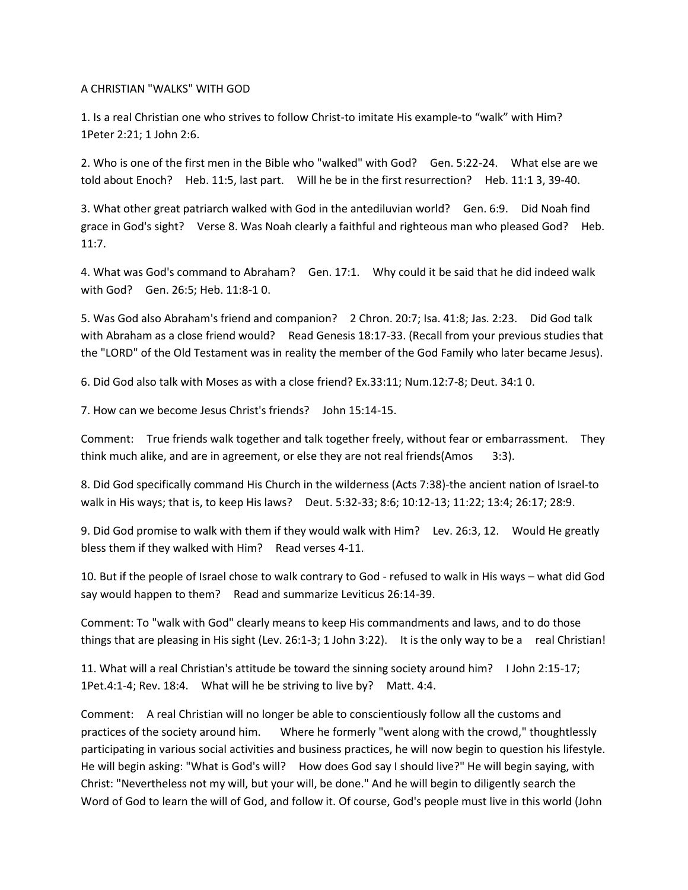A CHRISTIAN "WALKS" WITH GOD

1. Is a real Christian one who strives to follow Christ-to imitate His example-to "walk" with Him? 1Peter 2:21; 1 John 2:6.

2. Who is one of the first men in the Bible who "walked" with God? Gen. 5:22-24. What else are we told about Enoch? Heb. 11:5, last part. Will he be in the first resurrection? Heb. 11:1 3, 39-40.

3. What other great patriarch walked with God in the antediluvian world? Gen. 6:9. Did Noah find grace in God's sight? Verse 8. Was Noah clearly a faithful and righteous man who pleased God? Heb. 11:7.

4. What was God's command to Abraham? Gen. 17:1. Why could it be said that he did indeed walk with God? Gen. 26:5; Heb. 11:8-1 0.

5. Was God also Abraham's friend and companion? 2 Chron. 20:7; Isa. 41:8; Jas. 2:23. Did God talk with Abraham as a close friend would? Read Genesis 18:17-33. (Recall from your previous studies that the "LORD" of the Old Testament was in reality the member of the God Family who later became Jesus).

6. Did God also talk with Moses as with a close friend? Ex.33:11; Num.12:7-8; Deut. 34:1 0.

7. How can we become Jesus Christ's friends? John 15:14-15.

Comment: True friends walk together and talk together freely, without fear or embarrassment. They think much alike, and are in agreement, or else they are not real friends(Amos 3:3).

8. Did God specifically command His Church in the wilderness (Acts 7:38)-the ancient nation of Israel-to walk in His ways; that is, to keep His laws? Deut. 5:32-33; 8:6; 10:12-13; 11:22; 13:4; 26:17; 28:9.

9. Did God promise to walk with them if they would walk with Him? Lev. 26:3, 12. Would He greatly bless them if they walked with Him? Read verses 4-11.

10. But if the people of Israel chose to walk contrary to God - refused to walk in His ways – what did God say would happen to them? Read and summarize Leviticus 26:14-39.

Comment: To "walk with God" clearly means to keep His commandments and laws, and to do those things that are pleasing in His sight (Lev. 26:1-3; 1 John 3:22). It is the only way to be a real Christian!

11. What will a real Christian's attitude be toward the sinning society around him? I John 2:15-17; 1Pet.4:1-4; Rev. 18:4. What will he be striving to live by? Matt. 4:4.

Comment: A real Christian will no longer be able to conscientiously follow all the customs and practices of the society around him. Where he formerly "went along with the crowd," thoughtlessly participating in various social activities and business practices, he will now begin to question his lifestyle. He will begin asking: "What is God's will? How does God say I should live?" He will begin saying, with Christ: "Nevertheless not my will, but your will, be done." And he will begin to diligently search the Word of God to learn the will of God, and follow it. Of course, God's people must live in this world (John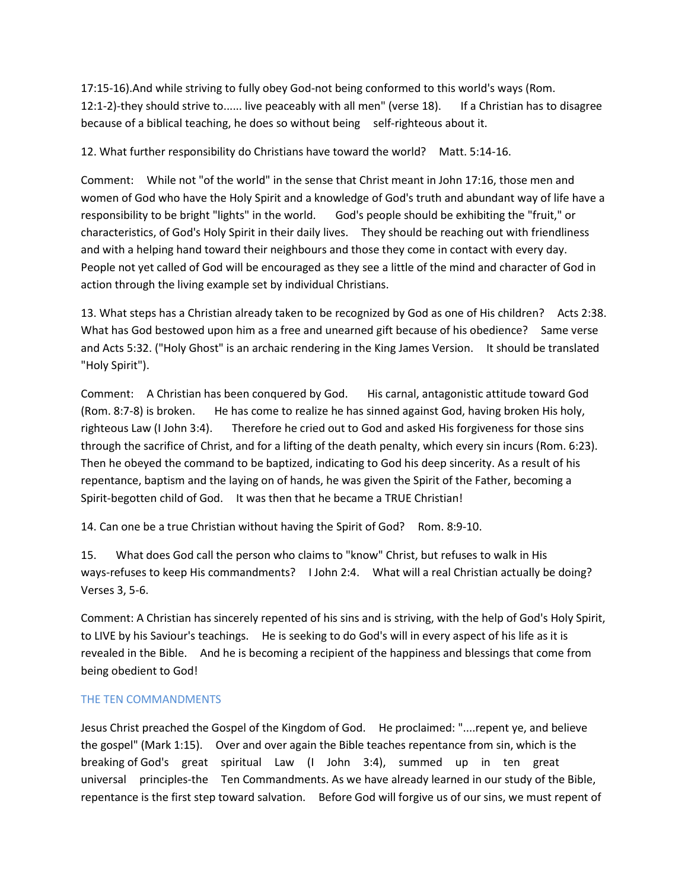17:15-16).And while striving to fully obey God-not being conformed to this world's ways (Rom. 12:1-2)-they should strive to...... live peaceably with all men" (verse 18). If a Christian has to disagree because of a biblical teaching, he does so without being self-righteous about it.

12. What further responsibility do Christians have toward the world? Matt. 5:14-16.

Comment: While not "of the world" in the sense that Christ meant in John 17:16, those men and women of God who have the Holy Spirit and a knowledge of God's truth and abundant way of life have a responsibility to be bright "lights" in the world. God's people should be exhibiting the "fruit," or characteristics, of God's Holy Spirit in their daily lives. They should be reaching out with friendliness and with a helping hand toward their neighbours and those they come in contact with every day. People not yet called of God will be encouraged as they see a little of the mind and character of God in action through the living example set by individual Christians.

13. What steps has a Christian already taken to be recognized by God as one of His children? Acts 2:38. What has God bestowed upon him as a free and unearned gift because of his obedience? Same verse and Acts 5:32. ("Holy Ghost" is an archaic rendering in the King James Version. It should be translated "Holy Spirit").

Comment: A Christian has been conquered by God. His carnal, antagonistic attitude toward God (Rom. 8:7-8) is broken. He has come to realize he has sinned against God, having broken His holy, righteous Law (I John 3:4). Therefore he cried out to God and asked His forgiveness for those sins through the sacrifice of Christ, and for a lifting of the death penalty, which every sin incurs (Rom. 6:23). Then he obeyed the command to be baptized, indicating to God his deep sincerity. As a result of his repentance, baptism and the laying on of hands, he was given the Spirit of the Father, becoming a Spirit-begotten child of God. It was then that he became a TRUE Christian!

14. Can one be a true Christian without having the Spirit of God? Rom. 8:9-10.

15. What does God call the person who claims to "know" Christ, but refuses to walk in His ways-refuses to keep His commandments? I John 2:4. What will a real Christian actually be doing? Verses 3, 5-6.

Comment: A Christian has sincerely repented of his sins and is striving, with the help of God's Holy Spirit, to LIVE by his Saviour's teachings. He is seeking to do God's will in every aspect of his life as it is revealed in the Bible. And he is becoming a recipient of the happiness and blessings that come from being obedient to God!

# THE TEN COMMANDMENTS

Jesus Christ preached the Gospel of the Kingdom of God. He proclaimed: "....repent ye, and believe the gospel" (Mark 1:15). Over and over again the Bible teaches repentance from sin, which is the breaking of God's great spiritual Law (I John 3:4), summed up in ten great universal principles-the Ten Commandments. As we have already learned in our study of the Bible, repentance is the first step toward salvation. Before God will forgive us of our sins, we must repent of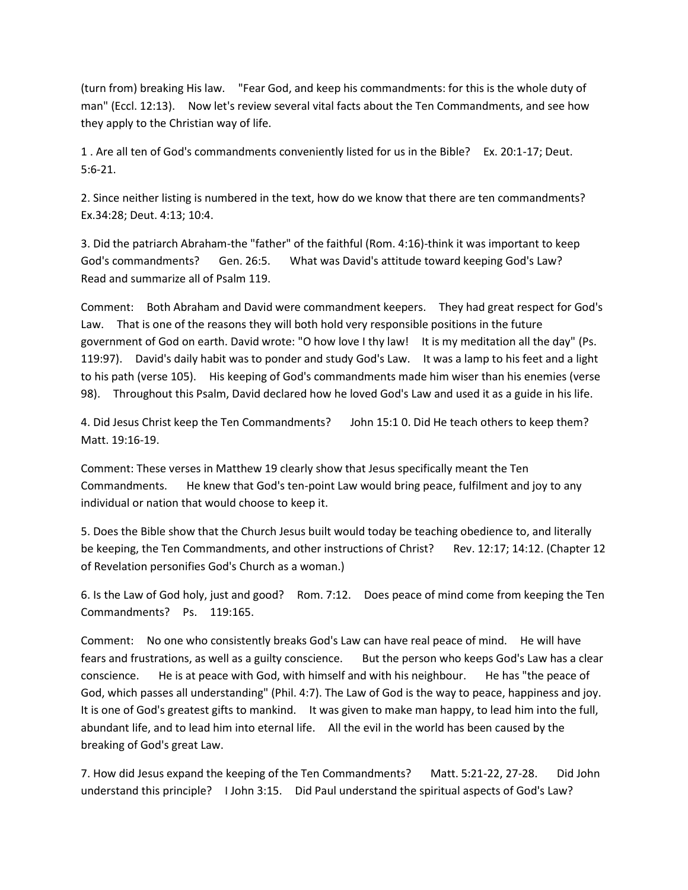(turn from) breaking His law. "Fear God, and keep his commandments: for this is the whole duty of man" (Eccl. 12:13). Now let's review several vital facts about the Ten Commandments, and see how they apply to the Christian way of life.

1 . Are all ten of God's commandments conveniently listed for us in the Bible? Ex. 20:1-17; Deut. 5:6-21.

2. Since neither listing is numbered in the text, how do we know that there are ten commandments? Ex.34:28; Deut. 4:13; 10:4.

3. Did the patriarch Abraham-the "father" of the faithful (Rom. 4:16)-think it was important to keep God's commandments? Gen. 26:5. What was David's attitude toward keeping God's Law? Read and summarize all of Psalm 119.

Comment: Both Abraham and David were commandment keepers. They had great respect for God's Law. That is one of the reasons they will both hold very responsible positions in the future government of God on earth. David wrote: "O how love I thy law! It is my meditation all the day" (Ps. 119:97). David's daily habit was to ponder and study God's Law. It was a lamp to his feet and a light to his path (verse 105). His keeping of God's commandments made him wiser than his enemies (verse 98). Throughout this Psalm, David declared how he loved God's Law and used it as a guide in his life.

4. Did Jesus Christ keep the Ten Commandments? John 15:1 0. Did He teach others to keep them? Matt. 19:16-19.

Comment: These verses in Matthew 19 clearly show that Jesus specifically meant the Ten Commandments. He knew that God's ten-point Law would bring peace, fulfilment and joy to any individual or nation that would choose to keep it.

5. Does the Bible show that the Church Jesus built would today be teaching obedience to, and literally be keeping, the Ten Commandments, and other instructions of Christ? Rev. 12:17; 14:12. (Chapter 12 of Revelation personifies God's Church as a woman.)

6. Is the Law of God holy, just and good? Rom. 7:12. Does peace of mind come from keeping the Ten Commandments? Ps. 119:165.

Comment: No one who consistently breaks God's Law can have real peace of mind. He will have fears and frustrations, as well as a guilty conscience. But the person who keeps God's Law has a clear conscience. He is at peace with God, with himself and with his neighbour. He has "the peace of God, which passes all understanding" (Phil. 4:7). The Law of God is the way to peace, happiness and joy. It is one of God's greatest gifts to mankind. It was given to make man happy, to lead him into the full, abundant life, and to lead him into eternal life. All the evil in the world has been caused by the breaking of God's great Law.

7. How did Jesus expand the keeping of the Ten Commandments? Matt. 5:21-22, 27-28. Did John understand this principle? I John 3:15. Did Paul understand the spiritual aspects of God's Law?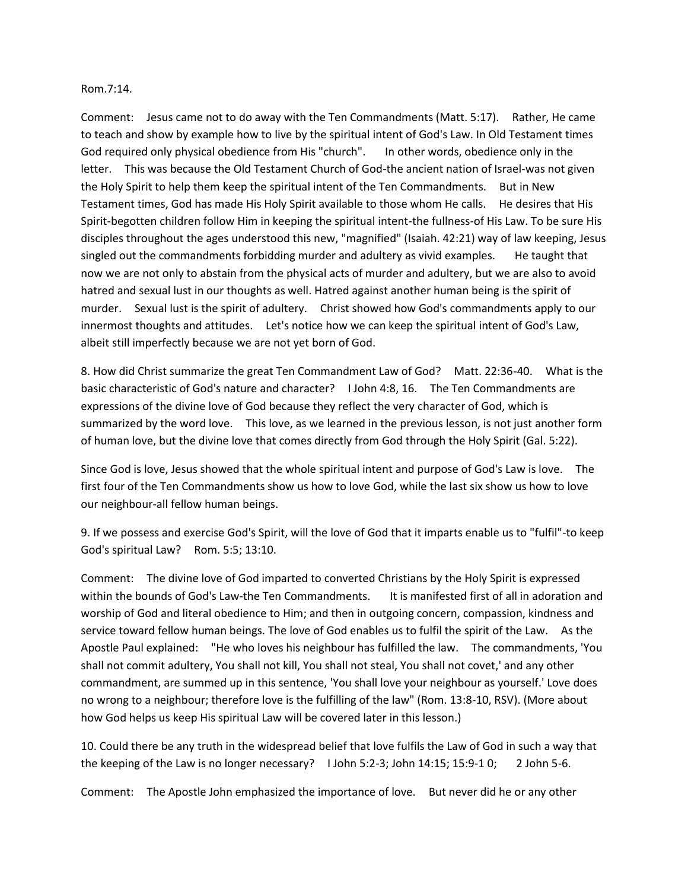#### Rom.7:14.

Comment: Jesus came not to do away with the Ten Commandments (Matt. 5:17). Rather, He came to teach and show by example how to live by the spiritual intent of God's Law. In Old Testament times God required only physical obedience from His "church". In other words, obedience only in the letter. This was because the Old Testament Church of God-the ancient nation of Israel-was not given the Holy Spirit to help them keep the spiritual intent of the Ten Commandments. But in New Testament times, God has made His Holy Spirit available to those whom He calls. He desires that His Spirit-begotten children follow Him in keeping the spiritual intent-the fullness-of His Law. To be sure His disciples throughout the ages understood this new, "magnified" (Isaiah. 42:21) way of law keeping, Jesus singled out the commandments forbidding murder and adultery as vivid examples. He taught that now we are not only to abstain from the physical acts of murder and adultery, but we are also to avoid hatred and sexual lust in our thoughts as well. Hatred against another human being is the spirit of murder. Sexual lust is the spirit of adultery. Christ showed how God's commandments apply to our innermost thoughts and attitudes. Let's notice how we can keep the spiritual intent of God's Law, albeit still imperfectly because we are not yet born of God.

8. How did Christ summarize the great Ten Commandment Law of God? Matt. 22:36-40. What is the basic characteristic of God's nature and character? I John 4:8, 16. The Ten Commandments are expressions of the divine love of God because they reflect the very character of God, which is summarized by the word love. This love, as we learned in the previous lesson, is not just another form of human love, but the divine love that comes directly from God through the Holy Spirit (Gal. 5:22).

Since God is love, Jesus showed that the whole spiritual intent and purpose of God's Law is love. The first four of the Ten Commandments show us how to love God, while the last six show us how to love our neighbour-all fellow human beings.

9. If we possess and exercise God's Spirit, will the love of God that it imparts enable us to "fulfil"-to keep God's spiritual Law? Rom. 5:5; 13:10.

Comment: The divine love of God imparted to converted Christians by the Holy Spirit is expressed within the bounds of God's Law-the Ten Commandments. It is manifested first of all in adoration and worship of God and literal obedience to Him; and then in outgoing concern, compassion, kindness and service toward fellow human beings. The love of God enables us to fulfil the spirit of the Law. As the Apostle Paul explained: "He who loves his neighbour has fulfilled the law. The commandments, 'You shall not commit adultery, You shall not kill, You shall not steal, You shall not covet,' and any other commandment, are summed up in this sentence, 'You shall love your neighbour as yourself.' Love does no wrong to a neighbour; therefore love is the fulfilling of the law" (Rom. 13:8-10, RSV). (More about how God helps us keep His spiritual Law will be covered later in this lesson.)

10. Could there be any truth in the widespread belief that love fulfils the Law of God in such a way that the keeping of the Law is no longer necessary? I John 5:2-3; John 14:15; 15:9-1 0; 2 John 5-6.

Comment: The Apostle John emphasized the importance of love. But never did he or any other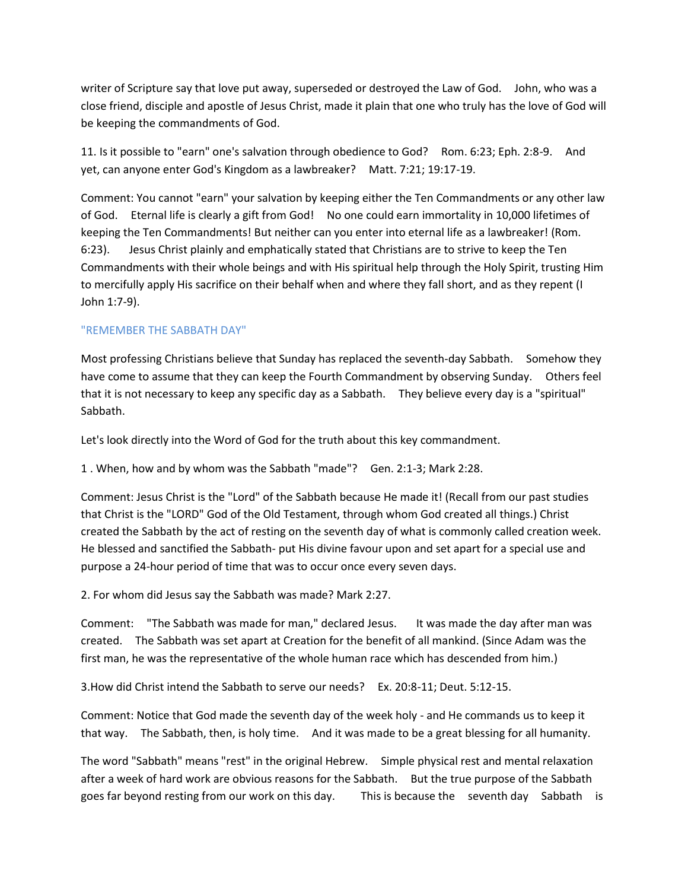writer of Scripture say that love put away, superseded or destroyed the Law of God. John, who was a close friend, disciple and apostle of Jesus Christ, made it plain that one who truly has the love of God will be keeping the commandments of God.

11. Is it possible to "earn" one's salvation through obedience to God? Rom. 6:23; Eph. 2:8-9. And yet, can anyone enter God's Kingdom as a lawbreaker? Matt. 7:21; 19:17-19.

Comment: You cannot "earn" your salvation by keeping either the Ten Commandments or any other law of God. Eternal life is clearly a gift from God! No one could earn immortality in 10,000 lifetimes of keeping the Ten Commandments! But neither can you enter into eternal life as a lawbreaker! (Rom. 6:23). Jesus Christ plainly and emphatically stated that Christians are to strive to keep the Ten Commandments with their whole beings and with His spiritual help through the Holy Spirit, trusting Him to mercifully apply His sacrifice on their behalf when and where they fall short, and as they repent (I John 1:7-9).

# "REMEMBER THE SABBATH DAY"

Most professing Christians believe that Sunday has replaced the seventh-day Sabbath. Somehow they have come to assume that they can keep the Fourth Commandment by observing Sunday. Others feel that it is not necessary to keep any specific day as a Sabbath. They believe every day is a "spiritual" Sabbath.

Let's look directly into the Word of God for the truth about this key commandment.

1 . When, how and by whom was the Sabbath "made"? Gen. 2:1-3; Mark 2:28.

Comment: Jesus Christ is the "Lord" of the Sabbath because He made it! (Recall from our past studies that Christ is the "LORD" God of the Old Testament, through whom God created all things.) Christ created the Sabbath by the act of resting on the seventh day of what is commonly called creation week. He blessed and sanctified the Sabbath- put His divine favour upon and set apart for a special use and purpose a 24-hour period of time that was to occur once every seven days.

2. For whom did Jesus say the Sabbath was made? Mark 2:27.

Comment: "The Sabbath was made for man," declared Jesus. It was made the day after man was created. The Sabbath was set apart at Creation for the benefit of all mankind. (Since Adam was the first man, he was the representative of the whole human race which has descended from him.)

3.How did Christ intend the Sabbath to serve our needs? Ex. 20:8-11; Deut. 5:12-15.

Comment: Notice that God made the seventh day of the week holy - and He commands us to keep it that way. The Sabbath, then, is holy time. And it was made to be a great blessing for all humanity.

The word "Sabbath" means "rest" in the original Hebrew. Simple physical rest and mental relaxation after a week of hard work are obvious reasons for the Sabbath. But the true purpose of the Sabbath goes far beyond resting from our work on this day. This is because the seventh day Sabbath is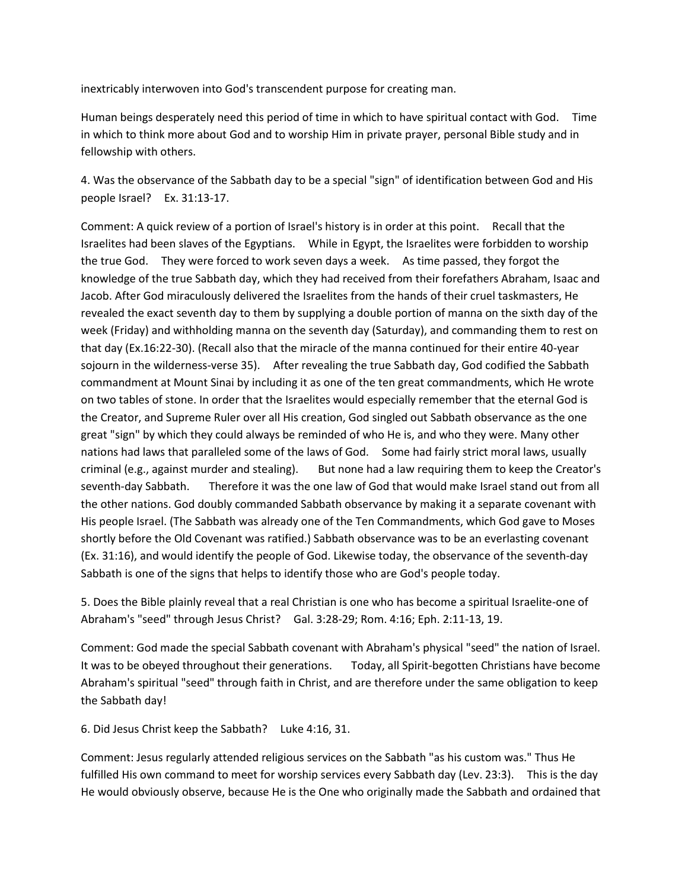inextricably interwoven into God's transcendent purpose for creating man.

Human beings desperately need this period of time in which to have spiritual contact with God. Time in which to think more about God and to worship Him in private prayer, personal Bible study and in fellowship with others.

4. Was the observance of the Sabbath day to be a special "sign" of identification between God and His people Israel? Ex. 31:13-17.

Comment: A quick review of a portion of Israel's history is in order at this point. Recall that the Israelites had been slaves of the Egyptians. While in Egypt, the Israelites were forbidden to worship the true God. They were forced to work seven days a week. As time passed, they forgot the knowledge of the true Sabbath day, which they had received from their forefathers Abraham, Isaac and Jacob. After God miraculously delivered the Israelites from the hands of their cruel taskmasters, He revealed the exact seventh day to them by supplying a double portion of manna on the sixth day of the week (Friday) and withholding manna on the seventh day (Saturday), and commanding them to rest on that day (Ex.16:22-30). (Recall also that the miracle of the manna continued for their entire 40-year sojourn in the wilderness-verse 35). After revealing the true Sabbath day, God codified the Sabbath commandment at Mount Sinai by including it as one of the ten great commandments, which He wrote on two tables of stone. In order that the Israelites would especially remember that the eternal God is the Creator, and Supreme Ruler over all His creation, God singled out Sabbath observance as the one great "sign" by which they could always be reminded of who He is, and who they were. Many other nations had laws that paralleled some of the laws of God. Some had fairly strict moral laws, usually criminal (e.g., against murder and stealing). But none had a law requiring them to keep the Creator's seventh-day Sabbath. Therefore it was the one law of God that would make Israel stand out from all the other nations. God doubly commanded Sabbath observance by making it a separate covenant with His people Israel. (The Sabbath was already one of the Ten Commandments, which God gave to Moses shortly before the Old Covenant was ratified.) Sabbath observance was to be an everlasting covenant (Ex. 31:16), and would identify the people of God. Likewise today, the observance of the seventh-day Sabbath is one of the signs that helps to identify those who are God's people today.

5. Does the Bible plainly reveal that a real Christian is one who has become a spiritual Israelite-one of Abraham's "seed" through Jesus Christ? Gal. 3:28-29; Rom. 4:16; Eph. 2:11-13, 19.

Comment: God made the special Sabbath covenant with Abraham's physical "seed" the nation of Israel. It was to be obeyed throughout their generations. Today, all Spirit-begotten Christians have become Abraham's spiritual "seed" through faith in Christ, and are therefore under the same obligation to keep the Sabbath day!

6. Did Jesus Christ keep the Sabbath? Luke 4:16, 31.

Comment: Jesus regularly attended religious services on the Sabbath "as his custom was." Thus He fulfilled His own command to meet for worship services every Sabbath day (Lev. 23:3). This is the day He would obviously observe, because He is the One who originally made the Sabbath and ordained that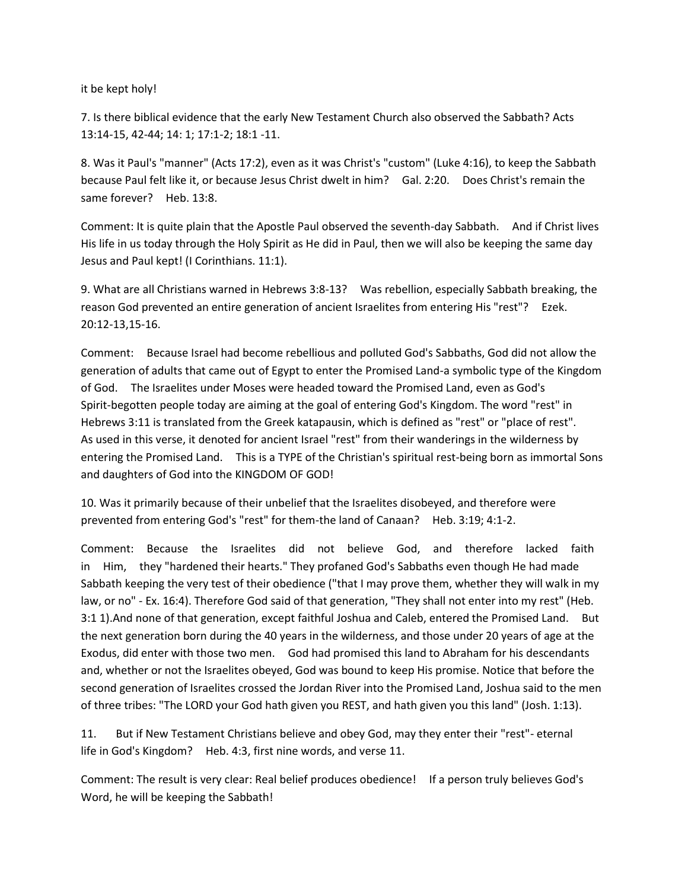it be kept holy!

7. Is there biblical evidence that the early New Testament Church also observed the Sabbath? Acts 13:14-15, 42-44; 14: 1; 17:1-2; 18:1 -11.

8. Was it Paul's "manner" (Acts 17:2), even as it was Christ's "custom" (Luke 4:16), to keep the Sabbath because Paul felt like it, or because Jesus Christ dwelt in him? Gal. 2:20. Does Christ's remain the same forever? Heb. 13:8.

Comment: It is quite plain that the Apostle Paul observed the seventh-day Sabbath. And if Christ lives His life in us today through the Holy Spirit as He did in Paul, then we will also be keeping the same day Jesus and Paul kept! (I Corinthians. 11:1).

9. What are all Christians warned in Hebrews 3:8-13? Was rebellion, especially Sabbath breaking, the reason God prevented an entire generation of ancient Israelites from entering His "rest"? Ezek. 20:12-13,15-16.

Comment: Because Israel had become rebellious and polluted God's Sabbaths, God did not allow the generation of adults that came out of Egypt to enter the Promised Land-a symbolic type of the Kingdom of God. The Israelites under Moses were headed toward the Promised Land, even as God's Spirit-begotten people today are aiming at the goal of entering God's Kingdom. The word "rest" in Hebrews 3:11 is translated from the Greek katapausin, which is defined as "rest" or "place of rest". As used in this verse, it denoted for ancient Israel "rest" from their wanderings in the wilderness by entering the Promised Land. This is a TYPE of the Christian's spiritual rest-being born as immortal Sons and daughters of God into the KINGDOM OF GOD!

10. Was it primarily because of their unbelief that the Israelites disobeyed, and therefore were prevented from entering God's "rest" for them-the land of Canaan? Heb. 3:19; 4:1-2.

Comment: Because the Israelites did not believe God, and therefore lacked faith in Him, they "hardened their hearts." They profaned God's Sabbaths even though He had made Sabbath keeping the very test of their obedience ("that I may prove them, whether they will walk in my law, or no" - Ex. 16:4). Therefore God said of that generation, "They shall not enter into my rest" (Heb. 3:1 1).And none of that generation, except faithful Joshua and Caleb, entered the Promised Land. But the next generation born during the 40 years in the wilderness, and those under 20 years of age at the Exodus, did enter with those two men. God had promised this land to Abraham for his descendants and, whether or not the Israelites obeyed, God was bound to keep His promise. Notice that before the second generation of Israelites crossed the Jordan River into the Promised Land, Joshua said to the men of three tribes: "The LORD your God hath given you REST, and hath given you this land" (Josh. 1:13).

11. But if New Testament Christians believe and obey God, may they enter their "rest"- eternal life in God's Kingdom? Heb. 4:3, first nine words, and verse 11.

Comment: The result is very clear: Real belief produces obedience! If a person truly believes God's Word, he will be keeping the Sabbath!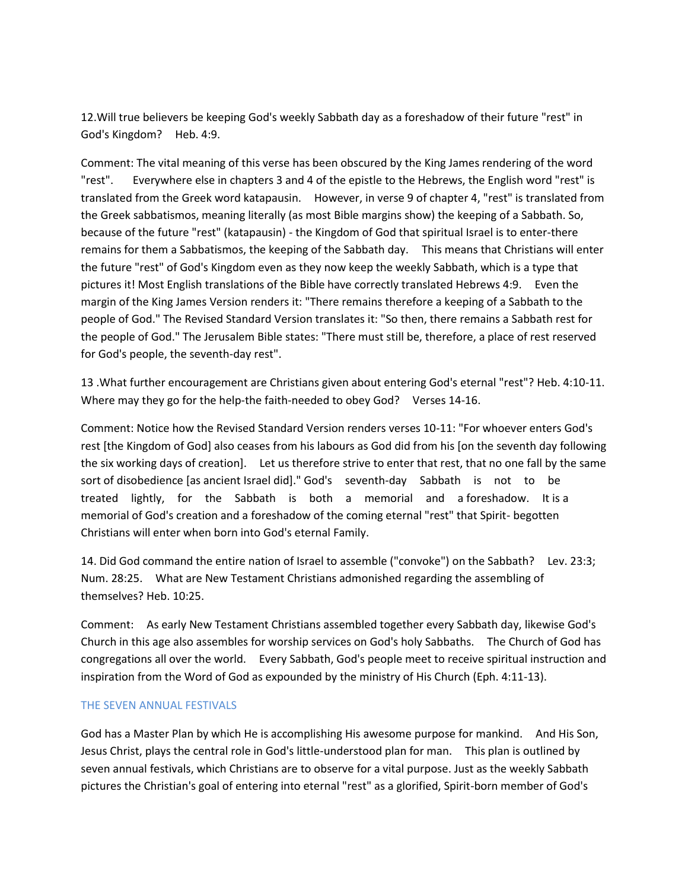12.Will true believers be keeping God's weekly Sabbath day as a foreshadow of their future "rest" in God's Kingdom? Heb. 4:9.

Comment: The vital meaning of this verse has been obscured by the King James rendering of the word "rest". Everywhere else in chapters 3 and 4 of the epistle to the Hebrews, the English word "rest" is translated from the Greek word katapausin. However, in verse 9 of chapter 4, "rest" is translated from the Greek sabbatismos, meaning literally (as most Bible margins show) the keeping of a Sabbath. So, because of the future "rest" (katapausin) - the Kingdom of God that spiritual Israel is to enter-there remains for them a Sabbatismos, the keeping of the Sabbath day. This means that Christians will enter the future "rest" of God's Kingdom even as they now keep the weekly Sabbath, which is a type that pictures it! Most English translations of the Bible have correctly translated Hebrews 4:9. Even the margin of the King James Version renders it: "There remains therefore a keeping of a Sabbath to the people of God." The Revised Standard Version translates it: "So then, there remains a Sabbath rest for the people of God." The Jerusalem Bible states: "There must still be, therefore, a place of rest reserved for God's people, the seventh-day rest".

13 .What further encouragement are Christians given about entering God's eternal "rest"? Heb. 4:10-11. Where may they go for the help-the faith-needed to obey God? Verses 14-16.

Comment: Notice how the Revised Standard Version renders verses 10-11: "For whoever enters God's rest [the Kingdom of God] also ceases from his labours as God did from his [on the seventh day following the six working days of creation]. Let us therefore strive to enter that rest, that no one fall by the same sort of disobedience [as ancient Israel did]." God's seventh-day Sabbath is not to be treated lightly, for the Sabbath is both a memorial and a foreshadow. It is a memorial of God's creation and a foreshadow of the coming eternal "rest" that Spirit- begotten Christians will enter when born into God's eternal Family.

14. Did God command the entire nation of Israel to assemble ("convoke") on the Sabbath? Lev. 23:3; Num. 28:25. What are New Testament Christians admonished regarding the assembling of themselves? Heb. 10:25.

Comment: As early New Testament Christians assembled together every Sabbath day, likewise God's Church in this age also assembles for worship services on God's holy Sabbaths. The Church of God has congregations all over the world. Every Sabbath, God's people meet to receive spiritual instruction and inspiration from the Word of God as expounded by the ministry of His Church (Eph. 4:11-13).

### THE SEVEN ANNUAL FESTIVALS

God has a Master Plan by which He is accomplishing His awesome purpose for mankind. And His Son, Jesus Christ, plays the central role in God's little-understood plan for man. This plan is outlined by seven annual festivals, which Christians are to observe for a vital purpose. Just as the weekly Sabbath pictures the Christian's goal of entering into eternal "rest" as a glorified, Spirit-born member of God's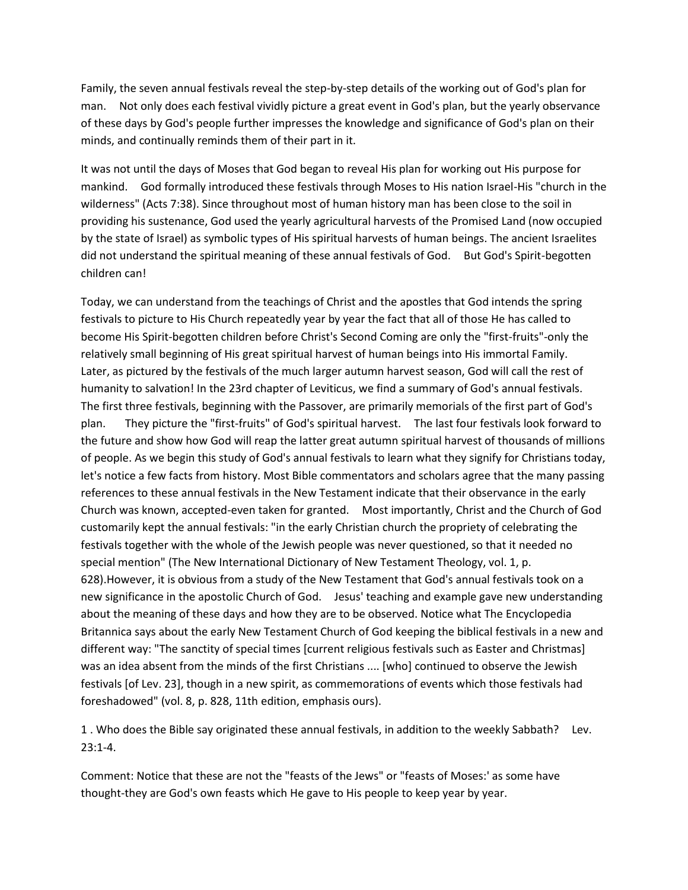Family, the seven annual festivals reveal the step-by-step details of the working out of God's plan for man. Not only does each festival vividly picture a great event in God's plan, but the yearly observance of these days by God's people further impresses the knowledge and significance of God's plan on their minds, and continually reminds them of their part in it.

It was not until the days of Moses that God began to reveal His plan for working out His purpose for mankind. God formally introduced these festivals through Moses to His nation Israel-His "church in the wilderness" (Acts 7:38). Since throughout most of human history man has been close to the soil in providing his sustenance, God used the yearly agricultural harvests of the Promised Land (now occupied by the state of Israel) as symbolic types of His spiritual harvests of human beings. The ancient Israelites did not understand the spiritual meaning of these annual festivals of God. But God's Spirit-begotten children can!

Today, we can understand from the teachings of Christ and the apostles that God intends the spring festivals to picture to His Church repeatedly year by year the fact that all of those He has called to become His Spirit-begotten children before Christ's Second Coming are only the "first-fruits"-only the relatively small beginning of His great spiritual harvest of human beings into His immortal Family. Later, as pictured by the festivals of the much larger autumn harvest season, God will call the rest of humanity to salvation! In the 23rd chapter of Leviticus, we find a summary of God's annual festivals. The first three festivals, beginning with the Passover, are primarily memorials of the first part of God's plan. They picture the "first-fruits" of God's spiritual harvest. The last four festivals look forward to the future and show how God will reap the latter great autumn spiritual harvest of thousands of millions of people. As we begin this study of God's annual festivals to learn what they signify for Christians today, let's notice a few facts from history. Most Bible commentators and scholars agree that the many passing references to these annual festivals in the New Testament indicate that their observance in the early Church was known, accepted-even taken for granted. Most importantly, Christ and the Church of God customarily kept the annual festivals: "in the early Christian church the propriety of celebrating the festivals together with the whole of the Jewish people was never questioned, so that it needed no special mention" (The New International Dictionary of New Testament Theology, vol. 1, p. 628).However, it is obvious from a study of the New Testament that God's annual festivals took on a new significance in the apostolic Church of God. Jesus' teaching and example gave new understanding about the meaning of these days and how they are to be observed. Notice what The Encyclopedia Britannica says about the early New Testament Church of God keeping the biblical festivals in a new and different way: "The sanctity of special times [current religious festivals such as Easter and Christmas] was an idea absent from the minds of the first Christians .... [who] continued to observe the Jewish festivals [of Lev. 23], though in a new spirit, as commemorations of events which those festivals had foreshadowed" (vol. 8, p. 828, 11th edition, emphasis ours).

1 . Who does the Bible say originated these annual festivals, in addition to the weekly Sabbath? Lev. 23:1-4.

Comment: Notice that these are not the "feasts of the Jews" or "feasts of Moses:' as some have thought-they are God's own feasts which He gave to His people to keep year by year.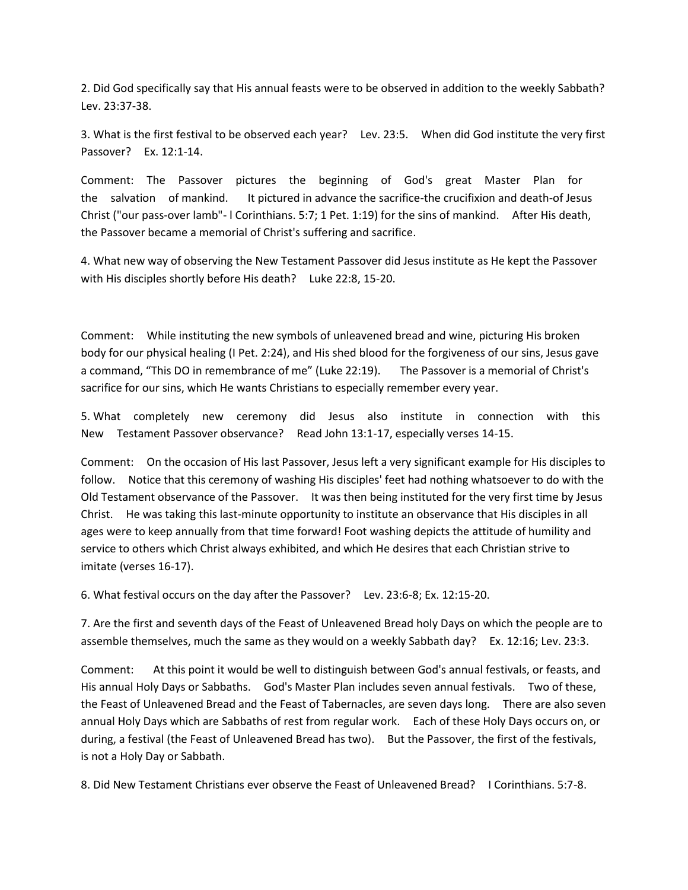2. Did God specifically say that His annual feasts were to be observed in addition to the weekly Sabbath? Lev. 23:37-38.

3. What is the first festival to be observed each year? Lev. 23:5. When did God institute the very first Passover? Ex. 12:1-14.

Comment: The Passover pictures the beginning of God's great Master Plan for the salvation of mankind. It pictured in advance the sacrifice-the crucifixion and death-of Jesus Christ ("our pass-over lamb"- l Corinthians. 5:7; 1 Pet. 1:19) for the sins of mankind. After His death, the Passover became a memorial of Christ's suffering and sacrifice.

4. What new way of observing the New Testament Passover did Jesus institute as He kept the Passover with His disciples shortly before His death? Luke 22:8, 15-20.

Comment: While instituting the new symbols of unleavened bread and wine, picturing His broken body for our physical healing (I Pet. 2:24), and His shed blood for the forgiveness of our sins, Jesus gave a command, "This DO in remembrance of me" (Luke 22:19). The Passover is a memorial of Christ's sacrifice for our sins, which He wants Christians to especially remember every year.

5. What completely new ceremony did Jesus also institute in connection with this New Testament Passover observance? Read John 13:1-17, especially verses 14-15.

Comment: On the occasion of His last Passover, Jesus left a very significant example for His disciples to follow. Notice that this ceremony of washing His disciples' feet had nothing whatsoever to do with the Old Testament observance of the Passover. It was then being instituted for the very first time by Jesus Christ. He was taking this last-minute opportunity to institute an observance that His disciples in all ages were to keep annually from that time forward! Foot washing depicts the attitude of humility and service to others which Christ always exhibited, and which He desires that each Christian strive to imitate (verses 16-17).

6. What festival occurs on the day after the Passover? Lev. 23:6-8; Ex. 12:15-20.

7. Are the first and seventh days of the Feast of Unleavened Bread holy Days on which the people are to assemble themselves, much the same as they would on a weekly Sabbath day? Ex. 12:16; Lev. 23:3.

Comment: At this point it would be well to distinguish between God's annual festivals, or feasts, and His annual Holy Days or Sabbaths. God's Master Plan includes seven annual festivals. Two of these, the Feast of Unleavened Bread and the Feast of Tabernacles, are seven days long. There are also seven annual Holy Days which are Sabbaths of rest from regular work. Each of these Holy Days occurs on, or during, a festival (the Feast of Unleavened Bread has two). But the Passover, the first of the festivals, is not a Holy Day or Sabbath.

8. Did New Testament Christians ever observe the Feast of Unleavened Bread? I Corinthians. 5:7-8.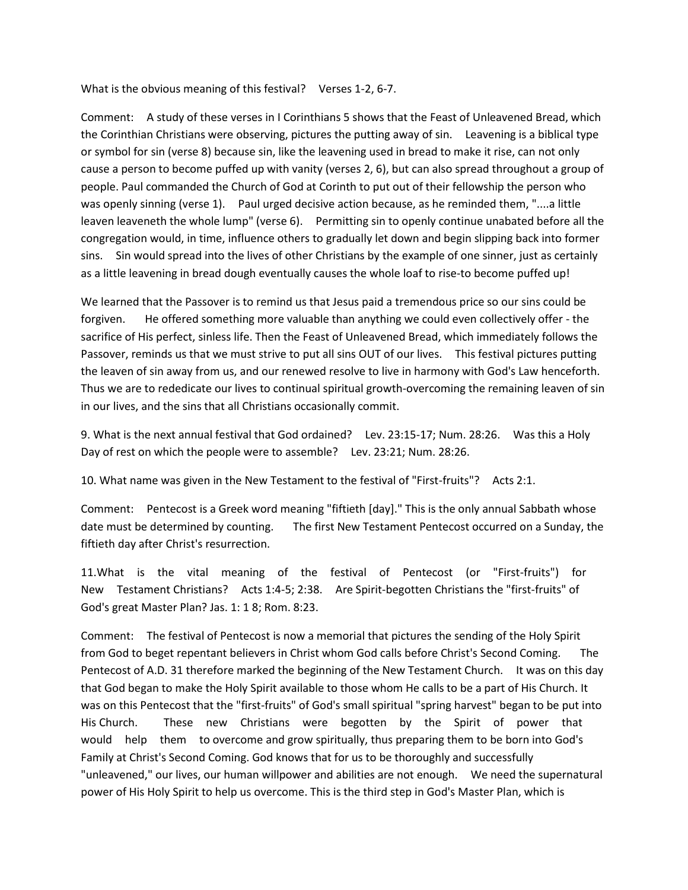What is the obvious meaning of this festival? Verses 1-2, 6-7.

Comment: A study of these verses in I Corinthians 5 shows that the Feast of Unleavened Bread, which the Corinthian Christians were observing, pictures the putting away of sin. Leavening is a biblical type or symbol for sin (verse 8) because sin, like the leavening used in bread to make it rise, can not only cause a person to become puffed up with vanity (verses 2, 6), but can also spread throughout a group of people. Paul commanded the Church of God at Corinth to put out of their fellowship the person who was openly sinning (verse 1). Paul urged decisive action because, as he reminded them, "....a little leaven leaveneth the whole lump" (verse 6). Permitting sin to openly continue unabated before all the congregation would, in time, influence others to gradually let down and begin slipping back into former sins. Sin would spread into the lives of other Christians by the example of one sinner, just as certainly as a little leavening in bread dough eventually causes the whole loaf to rise-to become puffed up!

We learned that the Passover is to remind us that Jesus paid a tremendous price so our sins could be forgiven. He offered something more valuable than anything we could even collectively offer - the sacrifice of His perfect, sinless life. Then the Feast of Unleavened Bread, which immediately follows the Passover, reminds us that we must strive to put all sins OUT of our lives. This festival pictures putting the leaven of sin away from us, and our renewed resolve to live in harmony with God's Law henceforth. Thus we are to rededicate our lives to continual spiritual growth-overcoming the remaining leaven of sin in our lives, and the sins that all Christians occasionally commit.

9. What is the next annual festival that God ordained? Lev. 23:15-17; Num. 28:26. Was this a Holy Day of rest on which the people were to assemble? Lev. 23:21; Num. 28:26.

10. What name was given in the New Testament to the festival of "First-fruits"? Acts 2:1.

Comment: Pentecost is a Greek word meaning "fiftieth [day]." This is the only annual Sabbath whose date must be determined by counting. The first New Testament Pentecost occurred on a Sunday, the fiftieth day after Christ's resurrection.

11.What is the vital meaning of the festival of Pentecost (or "First-fruits") for New Testament Christians? Acts 1:4-5; 2:38. Are Spirit-begotten Christians the "first-fruits" of God's great Master Plan? Jas. 1: 1 8; Rom. 8:23.

Comment: The festival of Pentecost is now a memorial that pictures the sending of the Holy Spirit from God to beget repentant believers in Christ whom God calls before Christ's Second Coming. The Pentecost of A.D. 31 therefore marked the beginning of the New Testament Church. It was on this day that God began to make the Holy Spirit available to those whom He calls to be a part of His Church. It was on this Pentecost that the "first-fruits" of God's small spiritual "spring harvest" began to be put into His Church. These new Christians were begotten by the Spirit of power that would help them to overcome and grow spiritually, thus preparing them to be born into God's Family at Christ's Second Coming. God knows that for us to be thoroughly and successfully "unleavened," our lives, our human willpower and abilities are not enough. We need the supernatural power of His Holy Spirit to help us overcome. This is the third step in God's Master Plan, which is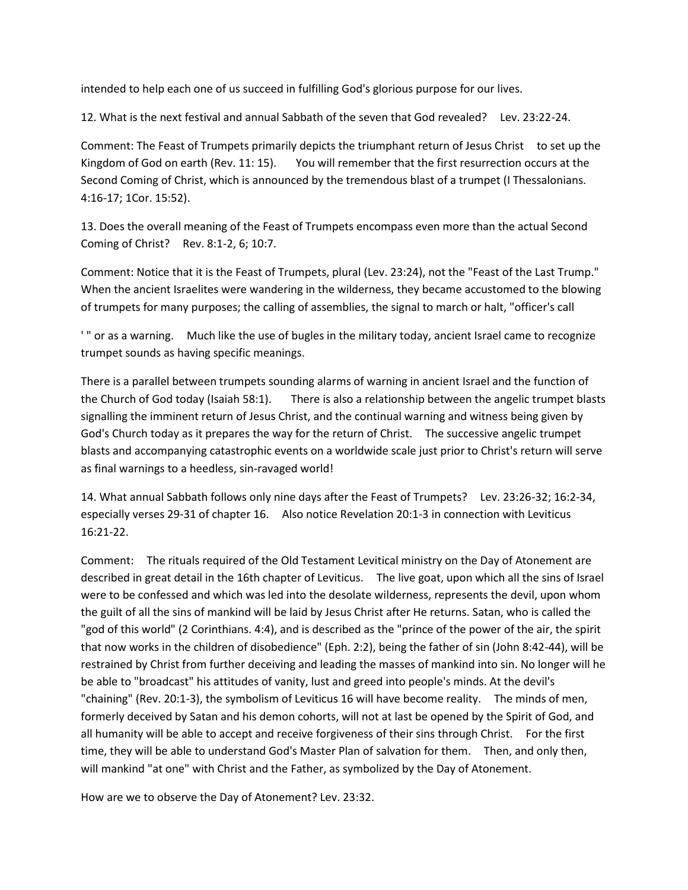intended to help each one of us succeed in fulfilling God's glorious purpose for our lives.

12. What is the next festival and annual Sabbath of the seven that God revealed? Lev. 23:22-24.

Comment: The Feast of Trumpets primarily depicts the triumphant return of Jesus Christ to set up the Kingdom of God on earth (Rev. 11: 15). You will remember that the first resurrection occurs at the Second Coming of Christ, which is announced by the tremendous blast of a trumpet (I Thessalonians. 4:16-17; 1Cor. 15:52).

13. Does the overall meaning of the Feast of Trumpets encompass even more than the actual Second Coming of Christ? Rev. 8:1-2, 6; 10:7.

Comment: Notice that it is the Feast of Trumpets, plural (Lev. 23:24), not the "Feast of the Last Trump." When the ancient Israelites were wandering in the wilderness, they became accustomed to the blowing of trumpets for many purposes; the calling of assemblies, the signal to march or halt, "officer's call

' " or as a warning. Much like the use of bugles in the military today, ancient Israel came to recognize trumpet sounds as having specific meanings.

There is a parallel between trumpets sounding alarms of warning in ancient Israel and the function of the Church of God today (Isaiah 58:1). There is also a relationship between the angelic trumpet blasts signalling the imminent return of Jesus Christ, and the continual warning and witness being given by God's Church today as it prepares the way for the return of Christ. The successive angelic trumpet blasts and accompanying catastrophic events on a worldwide scale just prior to Christ's return will serve as final warnings to a heedless, sin-ravaged world!

14. What annual Sabbath follows only nine days after the Feast of Trumpets? Lev. 23:26-32; 16:2-34, especially verses 29-31 of chapter 16. Also notice Revelation 20:1-3 in connection with Leviticus 16:21-22.

Comment: The rituals required of the Old Testament Levitical ministry on the Day of Atonement are described in great detail in the 16th chapter of Leviticus. The live goat, upon which all the sins of Israel were to be confessed and which was led into the desolate wilderness, represents the devil, upon whom the guilt of all the sins of mankind will be laid by Jesus Christ after He returns. Satan, who is called the "god of this world" (2 Corinthians. 4:4), and is described as the "prince of the power of the air, the spirit that now works in the children of disobedience" (Eph. 2:2), being the father of sin (John 8:42-44), will be restrained by Christ from further deceiving and leading the masses of mankind into sin. No longer will he be able to "broadcast" his attitudes of vanity, lust and greed into people's minds. At the devil's "chaining" (Rev. 20:1-3), the symbolism of Leviticus 16 will have become reality. The minds of men, formerly deceived by Satan and his demon cohorts, will not at last be opened by the Spirit of God, and all humanity will be able to accept and receive forgiveness of their sins through Christ. For the first time, they will be able to understand God's Master Plan of salvation for them. Then, and only then, will mankind "at one" with Christ and the Father, as symbolized by the Day of Atonement.

How are we to observe the Day of Atonement? Lev. 23:32.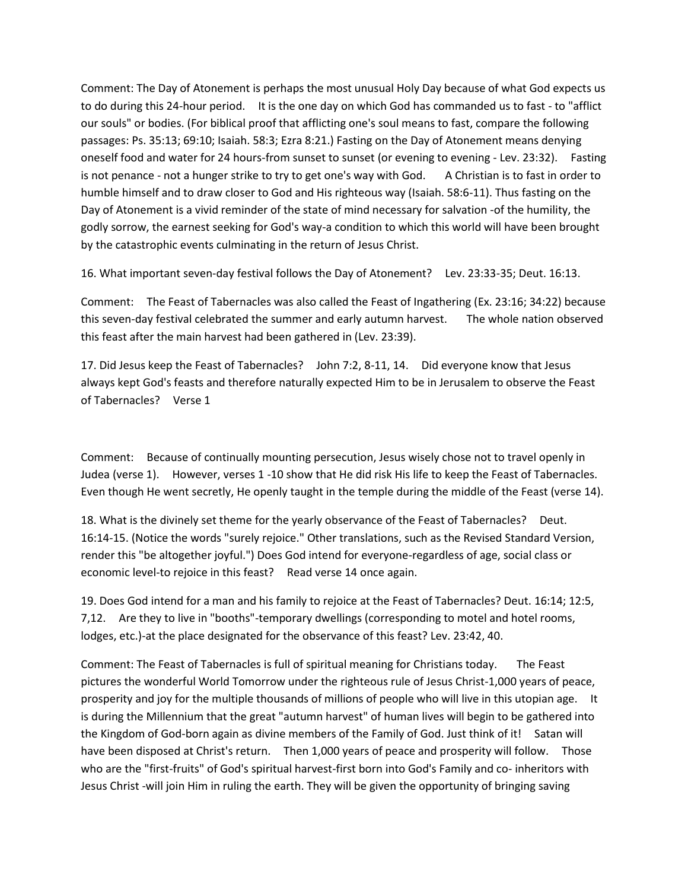Comment: The Day of Atonement is perhaps the most unusual Holy Day because of what God expects us to do during this 24-hour period. It is the one day on which God has commanded us to fast - to "afflict our souls" or bodies. (For biblical proof that afflicting one's soul means to fast, compare the following passages: Ps. 35:13; 69:10; Isaiah. 58:3; Ezra 8:21.) Fasting on the Day of Atonement means denying oneself food and water for 24 hours-from sunset to sunset (or evening to evening - Lev. 23:32). Fasting is not penance - not a hunger strike to try to get one's way with God. A Christian is to fast in order to humble himself and to draw closer to God and His righteous way (Isaiah. 58:6-11). Thus fasting on the Day of Atonement is a vivid reminder of the state of mind necessary for salvation -of the humility, the godly sorrow, the earnest seeking for God's way-a condition to which this world will have been brought by the catastrophic events culminating in the return of Jesus Christ.

16. What important seven-day festival follows the Day of Atonement? Lev. 23:33-35; Deut. 16:13.

Comment: The Feast of Tabernacles was also called the Feast of Ingathering (Ex. 23:16; 34:22) because this seven-day festival celebrated the summer and early autumn harvest. The whole nation observed this feast after the main harvest had been gathered in (Lev. 23:39).

17. Did Jesus keep the Feast of Tabernacles? John 7:2, 8-11, 14. Did everyone know that Jesus always kept God's feasts and therefore naturally expected Him to be in Jerusalem to observe the Feast of Tabernacles? Verse 1

Comment: Because of continually mounting persecution, Jesus wisely chose not to travel openly in Judea (verse 1). However, verses 1 -10 show that He did risk His life to keep the Feast of Tabernacles. Even though He went secretly, He openly taught in the temple during the middle of the Feast (verse 14).

18. What is the divinely set theme for the yearly observance of the Feast of Tabernacles? Deut. 16:14-15. (Notice the words "surely rejoice." Other translations, such as the Revised Standard Version, render this "be altogether joyful.") Does God intend for everyone-regardless of age, social class or economic level-to rejoice in this feast? Read verse 14 once again.

19. Does God intend for a man and his family to rejoice at the Feast of Tabernacles? Deut. 16:14; 12:5, 7,12. Are they to live in "booths"-temporary dwellings (corresponding to motel and hotel rooms, lodges, etc.)-at the place designated for the observance of this feast? Lev. 23:42, 40.

Comment: The Feast of Tabernacles is full of spiritual meaning for Christians today. The Feast pictures the wonderful World Tomorrow under the righteous rule of Jesus Christ-1,000 years of peace, prosperity and joy for the multiple thousands of millions of people who will live in this utopian age. It is during the Millennium that the great "autumn harvest" of human lives will begin to be gathered into the Kingdom of God-born again as divine members of the Family of God. Just think of it! Satan will have been disposed at Christ's return. Then 1,000 years of peace and prosperity will follow. Those who are the "first-fruits" of God's spiritual harvest-first born into God's Family and co- inheritors with Jesus Christ -will join Him in ruling the earth. They will be given the opportunity of bringing saving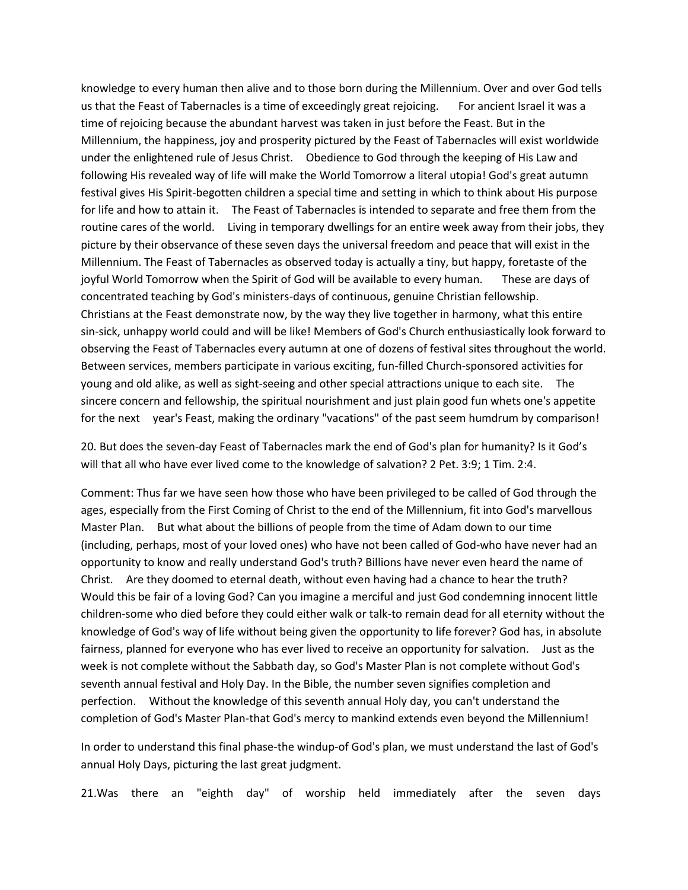knowledge to every human then alive and to those born during the Millennium. Over and over God tells us that the Feast of Tabernacles is a time of exceedingly great rejoicing. For ancient Israel it was a time of rejoicing because the abundant harvest was taken in just before the Feast. But in the Millennium, the happiness, joy and prosperity pictured by the Feast of Tabernacles will exist worldwide under the enlightened rule of Jesus Christ. Obedience to God through the keeping of His Law and following His revealed way of life will make the World Tomorrow a literal utopia! God's great autumn festival gives His Spirit-begotten children a special time and setting in which to think about His purpose for life and how to attain it. The Feast of Tabernacles is intended to separate and free them from the routine cares of the world. Living in temporary dwellings for an entire week away from their jobs, they picture by their observance of these seven days the universal freedom and peace that will exist in the Millennium. The Feast of Tabernacles as observed today is actually a tiny, but happy, foretaste of the joyful World Tomorrow when the Spirit of God will be available to every human. These are days of concentrated teaching by God's ministers-days of continuous, genuine Christian fellowship. Christians at the Feast demonstrate now, by the way they live together in harmony, what this entire sin-sick, unhappy world could and will be like! Members of God's Church enthusiastically look forward to observing the Feast of Tabernacles every autumn at one of dozens of festival sites throughout the world. Between services, members participate in various exciting, fun-filled Church-sponsored activities for young and old alike, as well as sight-seeing and other special attractions unique to each site. The sincere concern and fellowship, the spiritual nourishment and just plain good fun whets one's appetite for the next year's Feast, making the ordinary "vacations" of the past seem humdrum by comparison!

20. But does the seven-day Feast of Tabernacles mark the end of God's plan for humanity? Is it God's will that all who have ever lived come to the knowledge of salvation? 2 Pet. 3:9; 1 Tim. 2:4.

Comment: Thus far we have seen how those who have been privileged to be called of God through the ages, especially from the First Coming of Christ to the end of the Millennium, fit into God's marvellous Master Plan. But what about the billions of people from the time of Adam down to our time (including, perhaps, most of your loved ones) who have not been called of God-who have never had an opportunity to know and really understand God's truth? Billions have never even heard the name of Christ. Are they doomed to eternal death, without even having had a chance to hear the truth? Would this be fair of a loving God? Can you imagine a merciful and just God condemning innocent little children-some who died before they could either walk or talk-to remain dead for all eternity without the knowledge of God's way of life without being given the opportunity to life forever? God has, in absolute fairness, planned for everyone who has ever lived to receive an opportunity for salvation. Just as the week is not complete without the Sabbath day, so God's Master Plan is not complete without God's seventh annual festival and Holy Day. In the Bible, the number seven signifies completion and perfection. Without the knowledge of this seventh annual Holy day, you can't understand the completion of God's Master Plan-that God's mercy to mankind extends even beyond the Millennium!

In order to understand this final phase-the windup-of God's plan, we must understand the last of God's annual Holy Days, picturing the last great judgment.

21.Was there an "eighth day" of worship held immediately after the seven days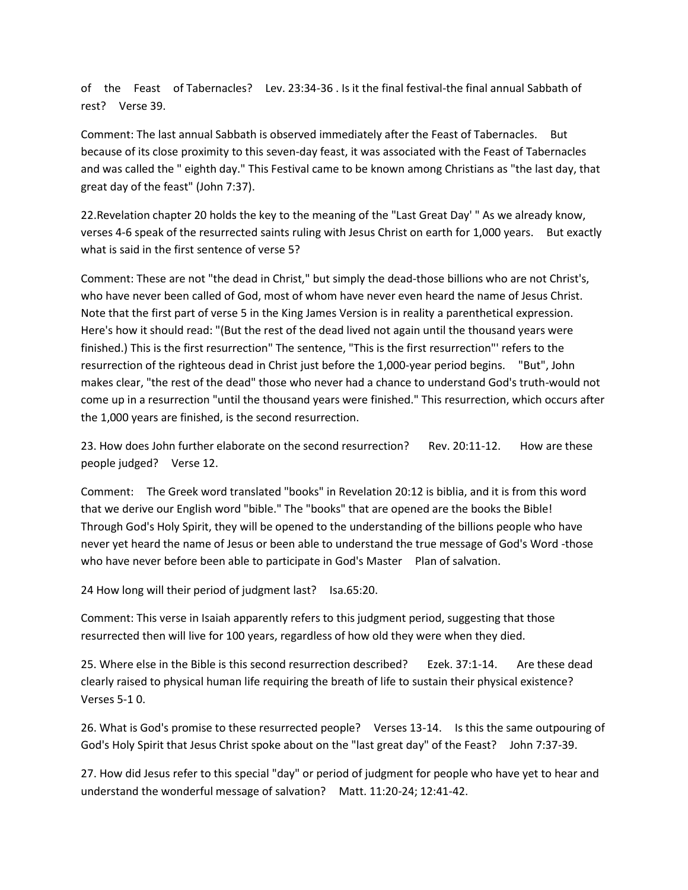of the Feast of Tabernacles? Lev. 23:34-36 . Is it the final festival-the final annual Sabbath of rest? Verse 39.

Comment: The last annual Sabbath is observed immediately after the Feast of Tabernacles. But because of its close proximity to this seven-day feast, it was associated with the Feast of Tabernacles and was called the " eighth day." This Festival came to be known among Christians as "the last day, that great day of the feast" (John 7:37).

22.Revelation chapter 20 holds the key to the meaning of the "Last Great Day' " As we already know, verses 4-6 speak of the resurrected saints ruling with Jesus Christ on earth for 1,000 years. But exactly what is said in the first sentence of verse 5?

Comment: These are not "the dead in Christ," but simply the dead-those billions who are not Christ's, who have never been called of God, most of whom have never even heard the name of Jesus Christ. Note that the first part of verse 5 in the King James Version is in reality a parenthetical expression. Here's how it should read: "(But the rest of the dead lived not again until the thousand years were finished.) This is the first resurrection" The sentence, "This is the first resurrection"' refers to the resurrection of the righteous dead in Christ just before the 1,000-year period begins. "But", John makes clear, "the rest of the dead" those who never had a chance to understand God's truth-would not come up in a resurrection "until the thousand years were finished." This resurrection, which occurs after the 1,000 years are finished, is the second resurrection.

23. How does John further elaborate on the second resurrection? Rev. 20:11-12. How are these people judged? Verse 12.

Comment: The Greek word translated "books" in Revelation 20:12 is biblia, and it is from this word that we derive our English word "bible." The "books" that are opened are the books the Bible! Through God's Holy Spirit, they will be opened to the understanding of the billions people who have never yet heard the name of Jesus or been able to understand the true message of God's Word -those who have never before been able to participate in God's Master Plan of salvation.

24 How long will their period of judgment last? Isa.65:20.

Comment: This verse in Isaiah apparently refers to this judgment period, suggesting that those resurrected then will live for 100 years, regardless of how old they were when they died.

25. Where else in the Bible is this second resurrection described? Ezek. 37:1-14. Are these dead clearly raised to physical human life requiring the breath of life to sustain their physical existence? Verses 5-1 0.

26. What is God's promise to these resurrected people? Verses 13-14. Is this the same outpouring of God's Holy Spirit that Jesus Christ spoke about on the "last great day" of the Feast? John 7:37-39.

27. How did Jesus refer to this special "day" or period of judgment for people who have yet to hear and understand the wonderful message of salvation? Matt. 11:20-24; 12:41-42.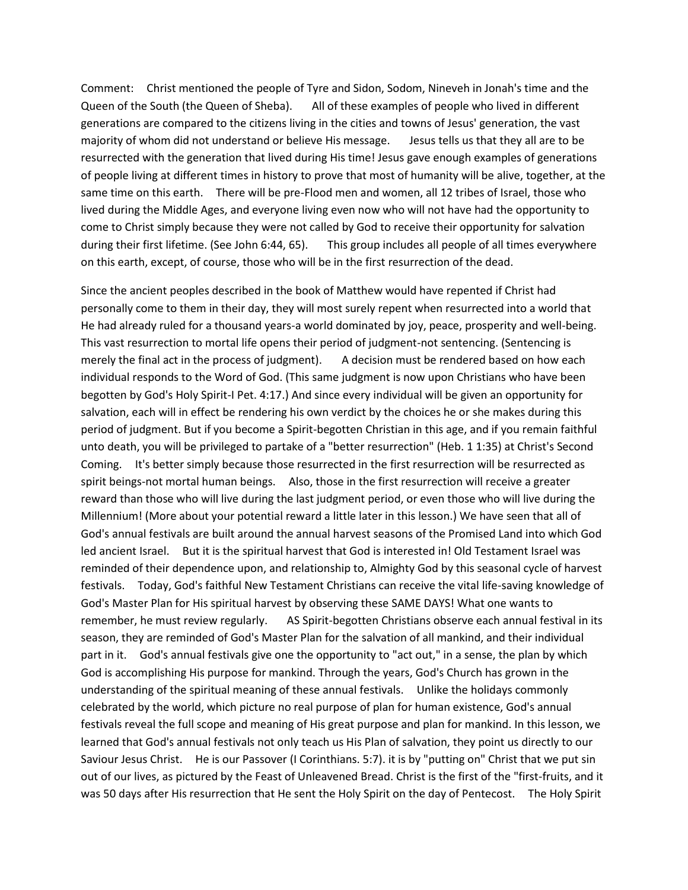Comment: Christ mentioned the people of Tyre and Sidon, Sodom, Nineveh in Jonah's time and the Queen of the South (the Queen of Sheba). All of these examples of people who lived in different generations are compared to the citizens living in the cities and towns of Jesus' generation, the vast majority of whom did not understand or believe His message. Jesus tells us that they all are to be resurrected with the generation that lived during His time! Jesus gave enough examples of generations of people living at different times in history to prove that most of humanity will be alive, together, at the same time on this earth. There will be pre-Flood men and women, all 12 tribes of Israel, those who lived during the Middle Ages, and everyone living even now who will not have had the opportunity to come to Christ simply because they were not called by God to receive their opportunity for salvation during their first lifetime. (See John 6:44, 65). This group includes all people of all times everywhere on this earth, except, of course, those who will be in the first resurrection of the dead.

Since the ancient peoples described in the book of Matthew would have repented if Christ had personally come to them in their day, they will most surely repent when resurrected into a world that He had already ruled for a thousand years-a world dominated by joy, peace, prosperity and well-being. This vast resurrection to mortal life opens their period of judgment-not sentencing. (Sentencing is merely the final act in the process of judgment). A decision must be rendered based on how each individual responds to the Word of God. (This same judgment is now upon Christians who have been begotten by God's Holy Spirit-I Pet. 4:17.) And since every individual will be given an opportunity for salvation, each will in effect be rendering his own verdict by the choices he or she makes during this period of judgment. But if you become a Spirit-begotten Christian in this age, and if you remain faithful unto death, you will be privileged to partake of a "better resurrection" (Heb. 1 1:35) at Christ's Second Coming. It's better simply because those resurrected in the first resurrection will be resurrected as spirit beings-not mortal human beings. Also, those in the first resurrection will receive a greater reward than those who will live during the last judgment period, or even those who will live during the Millennium! (More about your potential reward a little later in this lesson.) We have seen that all of God's annual festivals are built around the annual harvest seasons of the Promised Land into which God led ancient Israel. But it is the spiritual harvest that God is interested in! Old Testament Israel was reminded of their dependence upon, and relationship to, Almighty God by this seasonal cycle of harvest festivals. Today, God's faithful New Testament Christians can receive the vital life-saving knowledge of God's Master Plan for His spiritual harvest by observing these SAME DAYS! What one wants to remember, he must review regularly. AS Spirit-begotten Christians observe each annual festival in its season, they are reminded of God's Master Plan for the salvation of all mankind, and their individual part in it. God's annual festivals give one the opportunity to "act out," in a sense, the plan by which God is accomplishing His purpose for mankind. Through the years, God's Church has grown in the understanding of the spiritual meaning of these annual festivals. Unlike the holidays commonly celebrated by the world, which picture no real purpose of plan for human existence, God's annual festivals reveal the full scope and meaning of His great purpose and plan for mankind. In this lesson, we learned that God's annual festivals not only teach us His Plan of salvation, they point us directly to our Saviour Jesus Christ. He is our Passover (I Corinthians. 5:7). it is by "putting on" Christ that we put sin out of our lives, as pictured by the Feast of Unleavened Bread. Christ is the first of the "first-fruits, and it was 50 days after His resurrection that He sent the Holy Spirit on the day of Pentecost. The Holy Spirit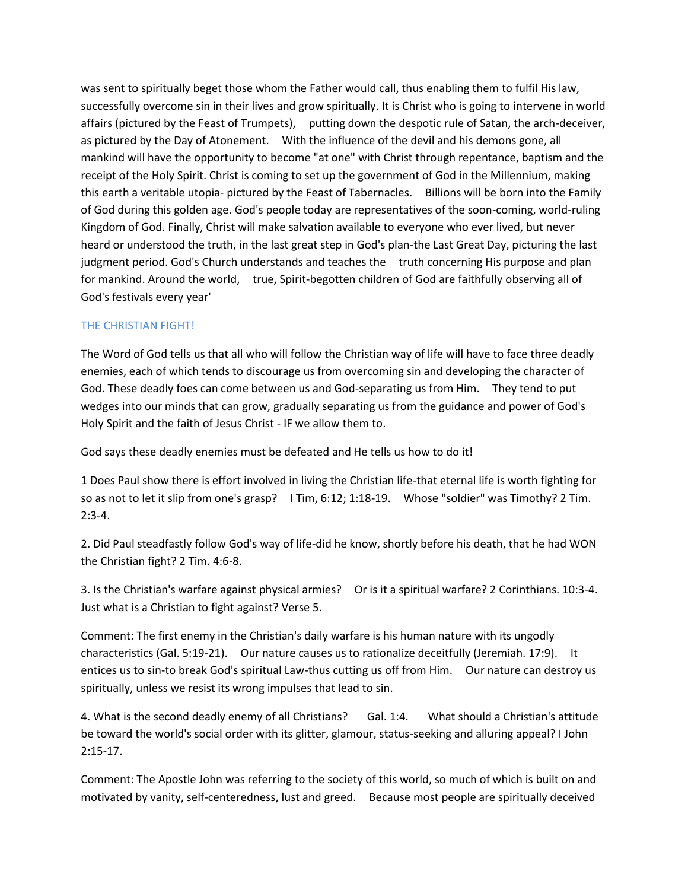was sent to spiritually beget those whom the Father would call, thus enabling them to fulfil His law, successfully overcome sin in their lives and grow spiritually. It is Christ who is going to intervene in world affairs (pictured by the Feast of Trumpets), putting down the despotic rule of Satan, the arch-deceiver, as pictured by the Day of Atonement. With the influence of the devil and his demons gone, all mankind will have the opportunity to become "at one" with Christ through repentance, baptism and the receipt of the Holy Spirit. Christ is coming to set up the government of God in the Millennium, making this earth a veritable utopia- pictured by the Feast of Tabernacles. Billions will be born into the Family of God during this golden age. God's people today are representatives of the soon-coming, world-ruling Kingdom of God. Finally, Christ will make salvation available to everyone who ever lived, but never heard or understood the truth, in the last great step in God's plan-the Last Great Day, picturing the last judgment period. God's Church understands and teaches the truth concerning His purpose and plan for mankind. Around the world, true, Spirit-begotten children of God are faithfully observing all of God's festivals every year'

### THE CHRISTIAN FIGHT!

The Word of God tells us that all who will follow the Christian way of life will have to face three deadly enemies, each of which tends to discourage us from overcoming sin and developing the character of God. These deadly foes can come between us and God-separating us from Him. They tend to put wedges into our minds that can grow, gradually separating us from the guidance and power of God's Holy Spirit and the faith of Jesus Christ - IF we allow them to.

God says these deadly enemies must be defeated and He tells us how to do it!

1 Does Paul show there is effort involved in living the Christian life-that eternal life is worth fighting for so as not to let it slip from one's grasp? I Tim, 6:12; 1:18-19. Whose "soldier" was Timothy? 2 Tim.  $2:3-4.$ 

2. Did Paul steadfastly follow God's way of life-did he know, shortly before his death, that he had WON the Christian fight? 2 Tim. 4:6-8.

3. Is the Christian's warfare against physical armies? Or is it a spiritual warfare? 2 Corinthians. 10:3-4. Just what is a Christian to fight against? Verse 5.

Comment: The first enemy in the Christian's daily warfare is his human nature with its ungodly characteristics (Gal. 5:19-21). Our nature causes us to rationalize deceitfully (Jeremiah. 17:9). It entices us to sin-to break God's spiritual Law-thus cutting us off from Him. Our nature can destroy us spiritually, unless we resist its wrong impulses that lead to sin.

4. What is the second deadly enemy of all Christians? Gal. 1:4. What should a Christian's attitude be toward the world's social order with its glitter, glamour, status-seeking and alluring appeal? I John 2:15-17.

Comment: The Apostle John was referring to the society of this world, so much of which is built on and motivated by vanity, self-centeredness, lust and greed. Because most people are spiritually deceived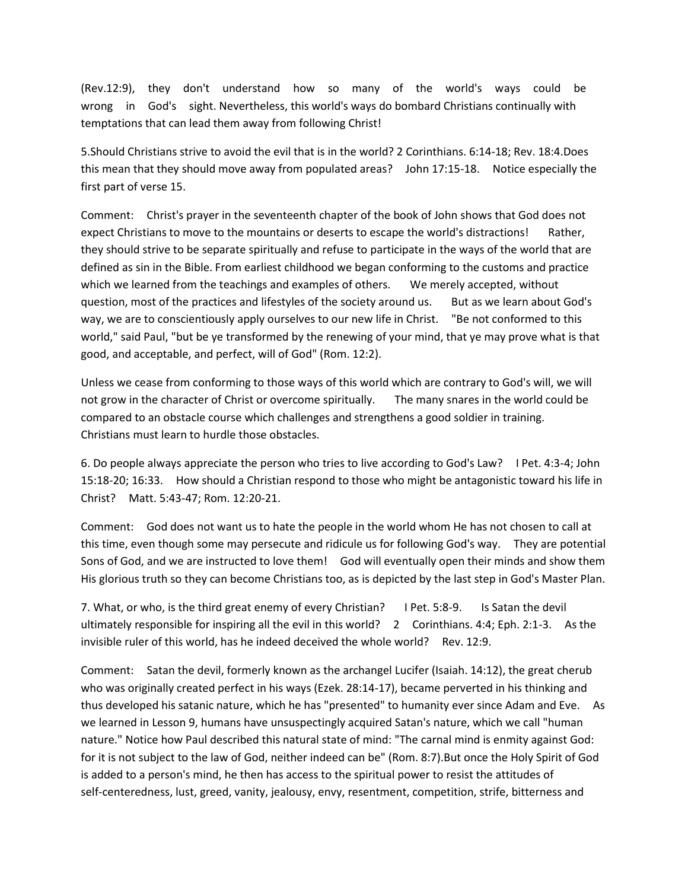(Rev.12:9), they don't understand how so many of the world's ways could be wrong in God's sight. Nevertheless, this world's ways do bombard Christians continually with temptations that can lead them away from following Christ!

5.Should Christians strive to avoid the evil that is in the world? 2 Corinthians. 6:14-18; Rev. 18:4.Does this mean that they should move away from populated areas? John 17:15-18. Notice especially the first part of verse 15.

Comment: Christ's prayer in the seventeenth chapter of the book of John shows that God does not expect Christians to move to the mountains or deserts to escape the world's distractions! Rather, they should strive to be separate spiritually and refuse to participate in the ways of the world that are defined as sin in the Bible. From earliest childhood we began conforming to the customs and practice which we learned from the teachings and examples of others. We merely accepted, without question, most of the practices and lifestyles of the society around us. But as we learn about God's way, we are to conscientiously apply ourselves to our new life in Christ. "Be not conformed to this world," said Paul, "but be ye transformed by the renewing of your mind, that ye may prove what is that good, and acceptable, and perfect, will of God" (Rom. 12:2).

Unless we cease from conforming to those ways of this world which are contrary to God's will, we will not grow in the character of Christ or overcome spiritually. The many snares in the world could be compared to an obstacle course which challenges and strengthens a good soldier in training. Christians must learn to hurdle those obstacles.

6. Do people always appreciate the person who tries to live according to God's Law? I Pet. 4:3-4; John 15:18-20; 16:33. How should a Christian respond to those who might be antagonistic toward his life in Christ? Matt. 5:43-47; Rom. 12:20-21.

Comment: God does not want us to hate the people in the world whom He has not chosen to call at this time, even though some may persecute and ridicule us for following God's way. They are potential Sons of God, and we are instructed to love them! God will eventually open their minds and show them His glorious truth so they can become Christians too, as is depicted by the last step in God's Master Plan.

7. What, or who, is the third great enemy of every Christian? I Pet. 5:8-9. Is Satan the devil ultimately responsible for inspiring all the evil in this world? 2 Corinthians. 4:4; Eph. 2:1-3. As the invisible ruler of this world, has he indeed deceived the whole world? Rev. 12:9.

Comment: Satan the devil, formerly known as the archangel Lucifer (Isaiah. 14:12), the great cherub who was originally created perfect in his ways (Ezek. 28:14-17), became perverted in his thinking and thus developed his satanic nature, which he has "presented" to humanity ever since Adam and Eve. As we learned in Lesson 9, humans have unsuspectingly acquired Satan's nature, which we call "human nature." Notice how Paul described this natural state of mind: "The carnal mind is enmity against God: for it is not subject to the law of God, neither indeed can be" (Rom. 8:7).But once the Holy Spirit of God is added to a person's mind, he then has access to the spiritual power to resist the attitudes of self-centeredness, lust, greed, vanity, jealousy, envy, resentment, competition, strife, bitterness and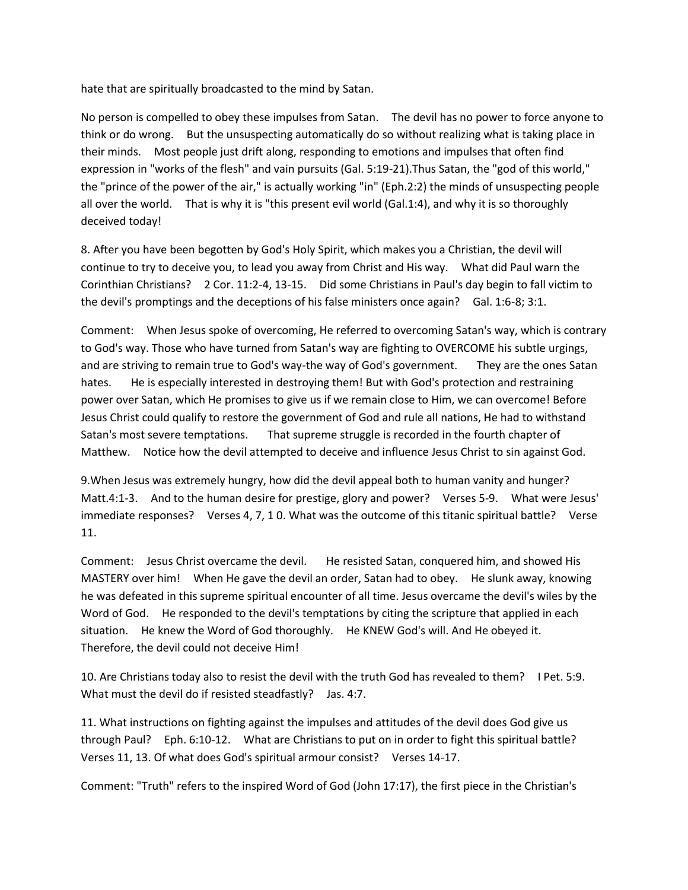hate that are spiritually broadcasted to the mind by Satan.

No person is compelled to obey these impulses from Satan. The devil has no power to force anyone to think or do wrong. But the unsuspecting automatically do so without realizing what is taking place in their minds. Most people just drift along, responding to emotions and impulses that often find expression in "works of the flesh" and vain pursuits (Gal. 5:19-21).Thus Satan, the "god of this world," the "prince of the power of the air," is actually working "in" (Eph.2:2) the minds of unsuspecting people all over the world. That is why it is "this present evil world (Gal.1:4), and why it is so thoroughly deceived today!

8. After you have been begotten by God's Holy Spirit, which makes you a Christian, the devil will continue to try to deceive you, to lead you away from Christ and His way. What did Paul warn the Corinthian Christians? 2 Cor. 11:2-4, 13-15. Did some Christians in Paul's day begin to fall victim to the devil's promptings and the deceptions of his false ministers once again? Gal. 1:6-8; 3:1.

Comment: When Jesus spoke of overcoming, He referred to overcoming Satan's way, which is contrary to God's way. Those who have turned from Satan's way are fighting to OVERCOME his subtle urgings, and are striving to remain true to God's way-the way of God's government. They are the ones Satan hates. He is especially interested in destroying them! But with God's protection and restraining power over Satan, which He promises to give us if we remain close to Him, we can overcome! Before Jesus Christ could qualify to restore the government of God and rule all nations, He had to withstand Satan's most severe temptations. That supreme struggle is recorded in the fourth chapter of Matthew. Notice how the devil attempted to deceive and influence Jesus Christ to sin against God.

9.When Jesus was extremely hungry, how did the devil appeal both to human vanity and hunger? Matt.4:1-3. And to the human desire for prestige, glory and power? Verses 5-9. What were Jesus' immediate responses? Verses 4, 7, 1 0. What was the outcome of this titanic spiritual battle? Verse 11.

Comment: Jesus Christ overcame the devil. He resisted Satan, conquered him, and showed His MASTERY over him! When He gave the devil an order, Satan had to obey. He slunk away, knowing he was defeated in this supreme spiritual encounter of all time. Jesus overcame the devil's wiles by the Word of God. He responded to the devil's temptations by citing the scripture that applied in each situation. He knew the Word of God thoroughly. He KNEW God's will. And He obeyed it. Therefore, the devil could not deceive Him!

10. Are Christians today also to resist the devil with the truth God has revealed to them? I Pet. 5:9. What must the devil do if resisted steadfastly? Jas. 4:7.

11. What instructions on fighting against the impulses and attitudes of the devil does God give us through Paul? Eph. 6:10-12. What are Christians to put on in order to fight this spiritual battle? Verses 11, 13. Of what does God's spiritual armour consist? Verses 14-17.

Comment: "Truth" refers to the inspired Word of God (John 17:17), the first piece in the Christian's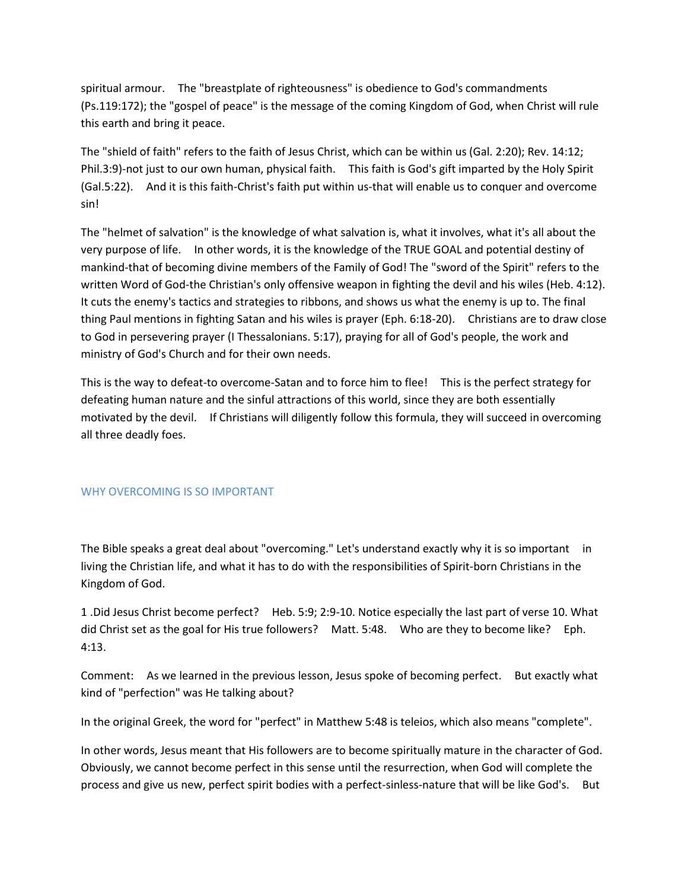spiritual armour. The "breastplate of righteousness" is obedience to God's commandments (Ps.119:172); the "gospel of peace" is the message of the coming Kingdom of God, when Christ will rule this earth and bring it peace.

The "shield of faith" refers to the faith of Jesus Christ, which can be within us (Gal. 2:20); Rev. 14:12; Phil.3:9)-not just to our own human, physical faith. This faith is God's gift imparted by the Holy Spirit (Gal.5:22). And it is this faith-Christ's faith put within us-that will enable us to conquer and overcome sin!

The "helmet of salvation" is the knowledge of what salvation is, what it involves, what it's all about the very purpose of life. In other words, it is the knowledge of the TRUE GOAL and potential destiny of mankind-that of becoming divine members of the Family of God! The "sword of the Spirit" refers to the written Word of God-the Christian's only offensive weapon in fighting the devil and his wiles (Heb. 4:12). It cuts the enemy's tactics and strategies to ribbons, and shows us what the enemy is up to. The final thing Paul mentions in fighting Satan and his wiles is prayer (Eph. 6:18-20). Christians are to draw close to God in persevering prayer (I Thessalonians. 5:17), praying for all of God's people, the work and ministry of God's Church and for their own needs.

This is the way to defeat-to overcome-Satan and to force him to flee! This is the perfect strategy for defeating human nature and the sinful attractions of this world, since they are both essentially motivated by the devil. If Christians will diligently follow this formula, they will succeed in overcoming all three deadly foes.

### WHY OVERCOMING IS SO IMPORTANT

The Bible speaks a great deal about "overcoming." Let's understand exactly why it is so important in living the Christian life, and what it has to do with the responsibilities of Spirit-born Christians in the Kingdom of God.

1 .Did Jesus Christ become perfect? Heb. 5:9; 2:9-10. Notice especially the last part of verse 10. What did Christ set as the goal for His true followers? Matt. 5:48. Who are they to become like? Eph. 4:13.

Comment: As we learned in the previous lesson, Jesus spoke of becoming perfect. But exactly what kind of "perfection" was He talking about?

In the original Greek, the word for "perfect" in Matthew 5:48 is teleios, which also means "complete".

In other words, Jesus meant that His followers are to become spiritually mature in the character of God. Obviously, we cannot become perfect in this sense until the resurrection, when God will complete the process and give us new, perfect spirit bodies with a perfect-sinless-nature that will be like God's. But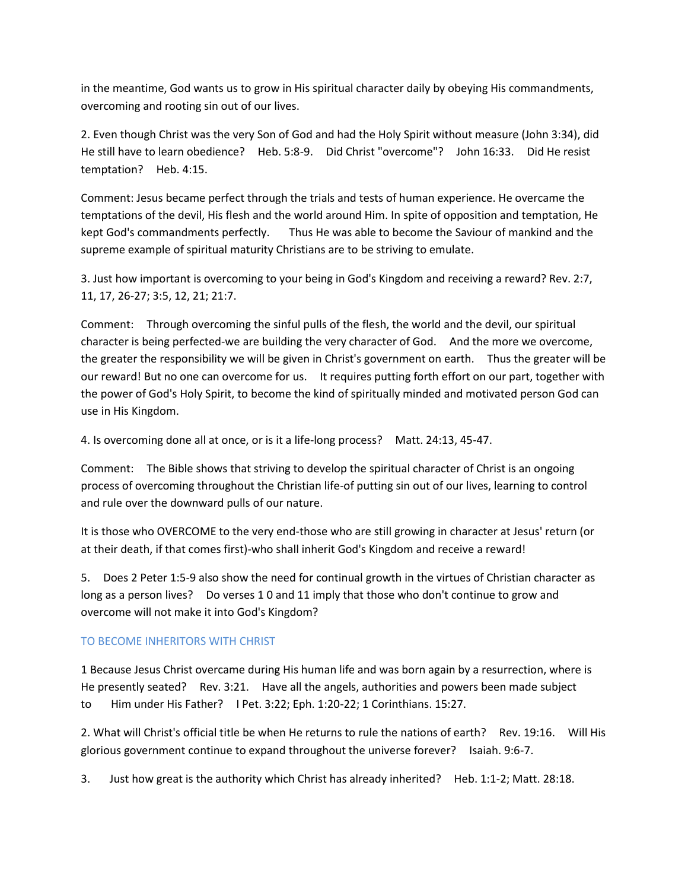in the meantime, God wants us to grow in His spiritual character daily by obeying His commandments, overcoming and rooting sin out of our lives.

2. Even though Christ was the very Son of God and had the Holy Spirit without measure (John 3:34), did He still have to learn obedience? Heb. 5:8-9. Did Christ "overcome"? John 16:33. Did He resist temptation? Heb. 4:15.

Comment: Jesus became perfect through the trials and tests of human experience. He overcame the temptations of the devil, His flesh and the world around Him. In spite of opposition and temptation, He kept God's commandments perfectly. Thus He was able to become the Saviour of mankind and the supreme example of spiritual maturity Christians are to be striving to emulate.

3. Just how important is overcoming to your being in God's Kingdom and receiving a reward? Rev. 2:7, 11, 17, 26-27; 3:5, 12, 21; 21:7.

Comment: Through overcoming the sinful pulls of the flesh, the world and the devil, our spiritual character is being perfected-we are building the very character of God. And the more we overcome, the greater the responsibility we will be given in Christ's government on earth. Thus the greater will be our reward! But no one can overcome for us. It requires putting forth effort on our part, together with the power of God's Holy Spirit, to become the kind of spiritually minded and motivated person God can use in His Kingdom.

4. Is overcoming done all at once, or is it a life-long process? Matt. 24:13, 45-47.

Comment: The Bible shows that striving to develop the spiritual character of Christ is an ongoing process of overcoming throughout the Christian life-of putting sin out of our lives, learning to control and rule over the downward pulls of our nature.

It is those who OVERCOME to the very end-those who are still growing in character at Jesus' return (or at their death, if that comes first)-who shall inherit God's Kingdom and receive a reward!

5. Does 2 Peter 1:5-9 also show the need for continual growth in the virtues of Christian character as long as a person lives? Do verses 1 0 and 11 imply that those who don't continue to grow and overcome will not make it into God's Kingdom?

# TO BECOME INHERITORS WITH CHRIST

1 Because Jesus Christ overcame during His human life and was born again by a resurrection, where is He presently seated? Rev. 3:21. Have all the angels, authorities and powers been made subject to Him under His Father? I Pet. 3:22; Eph. 1:20-22; 1 Corinthians. 15:27.

2. What will Christ's official title be when He returns to rule the nations of earth? Rev. 19:16. Will His glorious government continue to expand throughout the universe forever? Isaiah. 9:6-7.

3. Just how great is the authority which Christ has already inherited? Heb. 1:1-2; Matt. 28:18.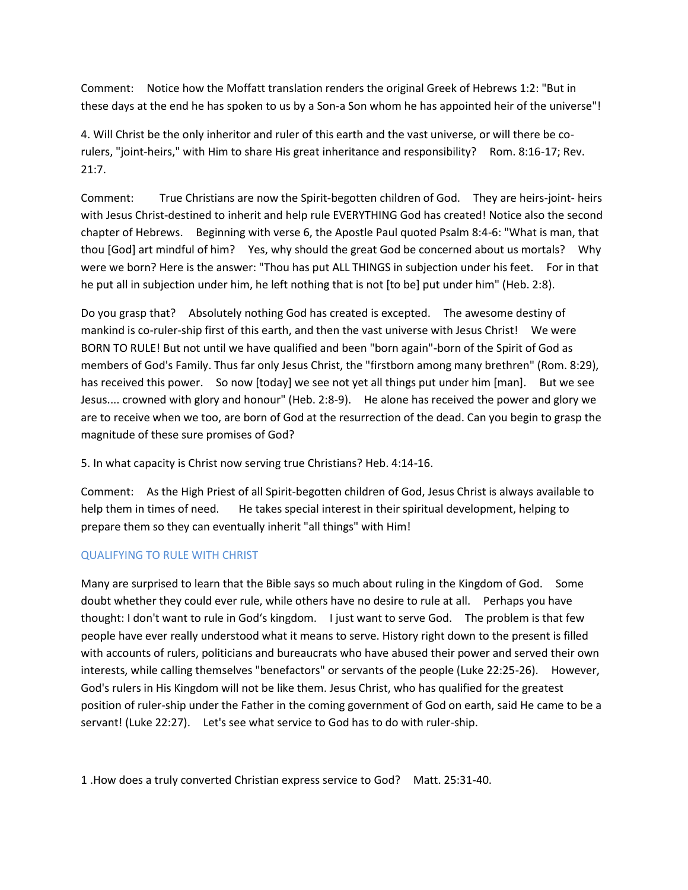Comment: Notice how the Moffatt translation renders the original Greek of Hebrews 1:2: "But in these days at the end he has spoken to us by a Son-a Son whom he has appointed heir of the universe"!

4. Will Christ be the only inheritor and ruler of this earth and the vast universe, or will there be corulers, "joint-heirs," with Him to share His great inheritance and responsibility? Rom. 8:16-17; Rev. 21:7.

Comment: True Christians are now the Spirit-begotten children of God. They are heirs-joint- heirs with Jesus Christ-destined to inherit and help rule EVERYTHING God has created! Notice also the second chapter of Hebrews. Beginning with verse 6, the Apostle Paul quoted Psalm 8:4-6: "What is man, that thou [God] art mindful of him? Yes, why should the great God be concerned about us mortals? Why were we born? Here is the answer: "Thou has put ALL THINGS in subjection under his feet. For in that he put all in subjection under him, he left nothing that is not [to be] put under him" (Heb. 2:8).

Do you grasp that? Absolutely nothing God has created is excepted. The awesome destiny of mankind is co-ruler-ship first of this earth, and then the vast universe with Jesus Christ! We were BORN TO RULE! But not until we have qualified and been "born again"-born of the Spirit of God as members of God's Family. Thus far only Jesus Christ, the "firstborn among many brethren" (Rom. 8:29), has received this power. So now [today] we see not yet all things put under him [man]. But we see Jesus.... crowned with glory and honour" (Heb. 2:8-9). He alone has received the power and glory we are to receive when we too, are born of God at the resurrection of the dead. Can you begin to grasp the magnitude of these sure promises of God?

5. In what capacity is Christ now serving true Christians? Heb. 4:14-16.

Comment: As the High Priest of all Spirit-begotten children of God, Jesus Christ is always available to help them in times of need. He takes special interest in their spiritual development, helping to prepare them so they can eventually inherit "all things" with Him!

# QUALIFYING TO RULE WITH CHRIST

Many are surprised to learn that the Bible says so much about ruling in the Kingdom of God. Some doubt whether they could ever rule, while others have no desire to rule at all. Perhaps you have thought: I don't want to rule in God's kingdom. I just want to serve God. The problem is that few people have ever really understood what it means to serve. History right down to the present is filled with accounts of rulers, politicians and bureaucrats who have abused their power and served their own interests, while calling themselves "benefactors" or servants of the people (Luke 22:25-26). However, God's rulers in His Kingdom will not be like them. Jesus Christ, who has qualified for the greatest position of ruler-ship under the Father in the coming government of God on earth, said He came to be a servant! (Luke 22:27). Let's see what service to God has to do with ruler-ship.

1 .How does a truly converted Christian express service to God? Matt. 25:31-40.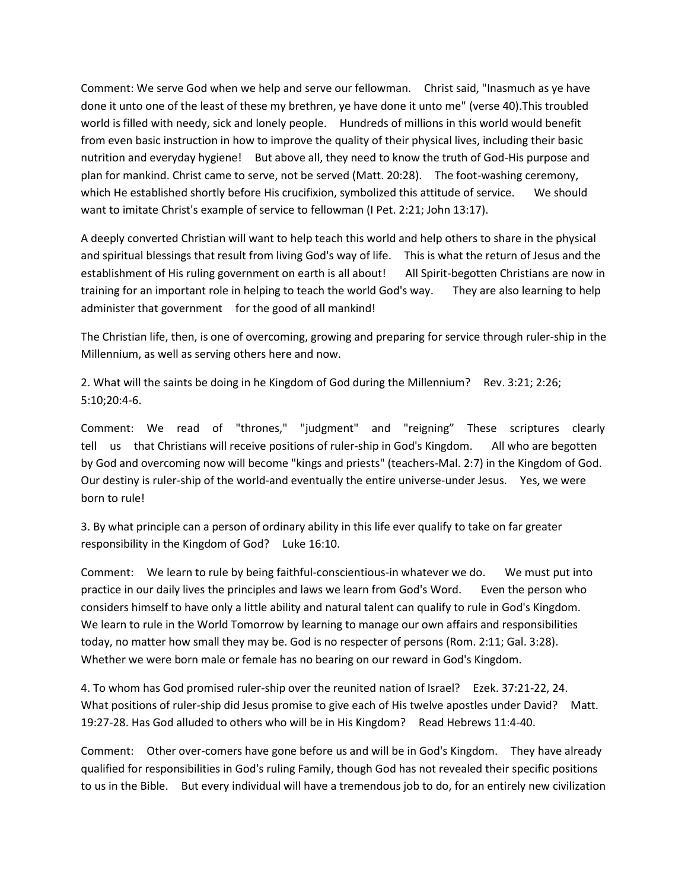Comment: We serve God when we help and serve our fellowman. Christ said, "Inasmuch as ye have done it unto one of the least of these my brethren, ye have done it unto me" (verse 40).This troubled world is filled with needy, sick and lonely people. Hundreds of millions in this world would benefit from even basic instruction in how to improve the quality of their physical lives, including their basic nutrition and everyday hygiene! But above all, they need to know the truth of God-His purpose and plan for mankind. Christ came to serve, not be served (Matt. 20:28). The foot-washing ceremony, which He established shortly before His crucifixion, symbolized this attitude of service. We should want to imitate Christ's example of service to fellowman (I Pet. 2:21; John 13:17).

A deeply converted Christian will want to help teach this world and help others to share in the physical and spiritual blessings that result from living God's way of life. This is what the return of Jesus and the establishment of His ruling government on earth is all about! All Spirit-begotten Christians are now in training for an important role in helping to teach the world God's way. They are also learning to help administer that government for the good of all mankind!

The Christian life, then, is one of overcoming, growing and preparing for service through ruler-ship in the Millennium, as well as serving others here and now.

2. What will the saints be doing in he Kingdom of God during the Millennium? Rev. 3:21; 2:26; 5:10;20:4-6.

Comment: We read of "thrones," "judgment" and "reigning" These scriptures clearly tell us that Christians will receive positions of ruler-ship in God's Kingdom. All who are begotten by God and overcoming now will become "kings and priests" (teachers-Mal. 2:7) in the Kingdom of God. Our destiny is ruler-ship of the world-and eventually the entire universe-under Jesus. Yes, we were born to rule!

3. By what principle can a person of ordinary ability in this life ever qualify to take on far greater responsibility in the Kingdom of God? Luke 16:10.

Comment: We learn to rule by being faithful-conscientious-in whatever we do. We must put into practice in our daily lives the principles and laws we learn from God's Word. Even the person who considers himself to have only a little ability and natural talent can qualify to rule in God's Kingdom. We learn to rule in the World Tomorrow by learning to manage our own affairs and responsibilities today, no matter how small they may be. God is no respecter of persons (Rom. 2:11; Gal. 3:28). Whether we were born male or female has no bearing on our reward in God's Kingdom.

4. To whom has God promised ruler-ship over the reunited nation of Israel? Ezek. 37:21-22, 24. What positions of ruler-ship did Jesus promise to give each of His twelve apostles under David? Matt. 19:27-28. Has God alluded to others who will be in His Kingdom? Read Hebrews 11:4-40.

Comment: Other over-comers have gone before us and will be in God's Kingdom. They have already qualified for responsibilities in God's ruling Family, though God has not revealed their specific positions to us in the Bible. But every individual will have a tremendous job to do, for an entirely new civilization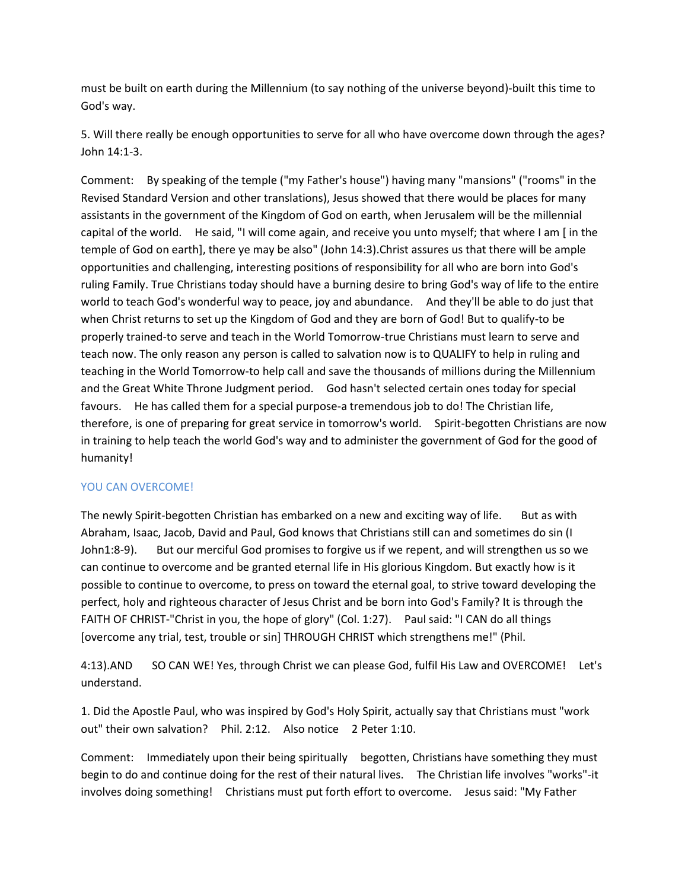must be built on earth during the Millennium (to say nothing of the universe beyond)-built this time to God's way.

5. Will there really be enough opportunities to serve for all who have overcome down through the ages? John 14:1-3.

Comment: By speaking of the temple ("my Father's house") having many "mansions" ("rooms" in the Revised Standard Version and other translations), Jesus showed that there would be places for many assistants in the government of the Kingdom of God on earth, when Jerusalem will be the millennial capital of the world. He said, "I will come again, and receive you unto myself; that where I am [ in the temple of God on earth], there ye may be also" (John 14:3).Christ assures us that there will be ample opportunities and challenging, interesting positions of responsibility for all who are born into God's ruling Family. True Christians today should have a burning desire to bring God's way of life to the entire world to teach God's wonderful way to peace, joy and abundance. And they'll be able to do just that when Christ returns to set up the Kingdom of God and they are born of God! But to qualify-to be properly trained-to serve and teach in the World Tomorrow-true Christians must learn to serve and teach now. The only reason any person is called to salvation now is to QUALIFY to help in ruling and teaching in the World Tomorrow-to help call and save the thousands of millions during the Millennium and the Great White Throne Judgment period. God hasn't selected certain ones today for special favours. He has called them for a special purpose-a tremendous job to do! The Christian life, therefore, is one of preparing for great service in tomorrow's world. Spirit-begotten Christians are now in training to help teach the world God's way and to administer the government of God for the good of humanity!

### YOU CAN OVERCOME!

The newly Spirit-begotten Christian has embarked on a new and exciting way of life. But as with Abraham, Isaac, Jacob, David and Paul, God knows that Christians still can and sometimes do sin (I John1:8-9). But our merciful God promises to forgive us if we repent, and will strengthen us so we can continue to overcome and be granted eternal life in His glorious Kingdom. But exactly how is it possible to continue to overcome, to press on toward the eternal goal, to strive toward developing the perfect, holy and righteous character of Jesus Christ and be born into God's Family? It is through the FAITH OF CHRIST-"Christ in you, the hope of glory" (Col. 1:27). Paul said: "I CAN do all things [overcome any trial, test, trouble or sin] THROUGH CHRIST which strengthens me!" (Phil.

4:13).AND SO CAN WE! Yes, through Christ we can please God, fulfil His Law and OVERCOME! Let's understand.

1. Did the Apostle Paul, who was inspired by God's Holy Spirit, actually say that Christians must "work out" their own salvation? Phil. 2:12. Also notice 2 Peter 1:10.

Comment: Immediately upon their being spiritually begotten, Christians have something they must begin to do and continue doing for the rest of their natural lives. The Christian life involves "works"-it involves doing something! Christians must put forth effort to overcome. Jesus said: "My Father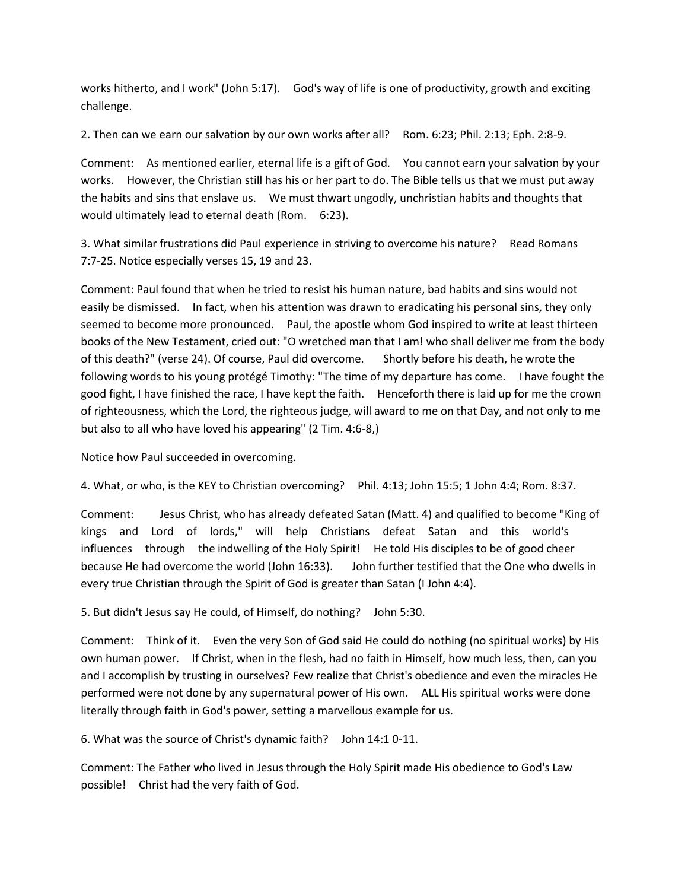works hitherto, and I work" (John 5:17). God's way of life is one of productivity, growth and exciting challenge.

2. Then can we earn our salvation by our own works after all? Rom. 6:23; Phil. 2:13; Eph. 2:8-9.

Comment: As mentioned earlier, eternal life is a gift of God. You cannot earn your salvation by your works. However, the Christian still has his or her part to do. The Bible tells us that we must put away the habits and sins that enslave us. We must thwart ungodly, unchristian habits and thoughts that would ultimately lead to eternal death (Rom. 6:23).

3. What similar frustrations did Paul experience in striving to overcome his nature? Read Romans 7:7-25. Notice especially verses 15, 19 and 23.

Comment: Paul found that when he tried to resist his human nature, bad habits and sins would not easily be dismissed. In fact, when his attention was drawn to eradicating his personal sins, they only seemed to become more pronounced. Paul, the apostle whom God inspired to write at least thirteen books of the New Testament, cried out: "O wretched man that I am! who shall deliver me from the body of this death?" (verse 24). Of course, Paul did overcome. Shortly before his death, he wrote the following words to his young protégé Timothy: "The time of my departure has come. I have fought the good fight, I have finished the race, I have kept the faith. Henceforth there is laid up for me the crown of righteousness, which the Lord, the righteous judge, will award to me on that Day, and not only to me but also to all who have loved his appearing" (2 Tim. 4:6-8,)

Notice how Paul succeeded in overcoming.

4. What, or who, is the KEY to Christian overcoming? Phil. 4:13; John 15:5; 1 John 4:4; Rom. 8:37.

Comment: Jesus Christ, who has already defeated Satan (Matt. 4) and qualified to become "King of kings and Lord of lords," will help Christians defeat Satan and this world's influences through the indwelling of the Holy Spirit! He told His disciples to be of good cheer because He had overcome the world (John 16:33). John further testified that the One who dwells in every true Christian through the Spirit of God is greater than Satan (I John 4:4).

5. But didn't Jesus say He could, of Himself, do nothing? John 5:30.

Comment: Think of it. Even the very Son of God said He could do nothing (no spiritual works) by His own human power. If Christ, when in the flesh, had no faith in Himself, how much less, then, can you and I accomplish by trusting in ourselves? Few realize that Christ's obedience and even the miracles He performed were not done by any supernatural power of His own. ALL His spiritual works were done literally through faith in God's power, setting a marvellous example for us.

6. What was the source of Christ's dynamic faith? John 14:1 0-11.

Comment: The Father who lived in Jesus through the Holy Spirit made His obedience to God's Law possible! Christ had the very faith of God.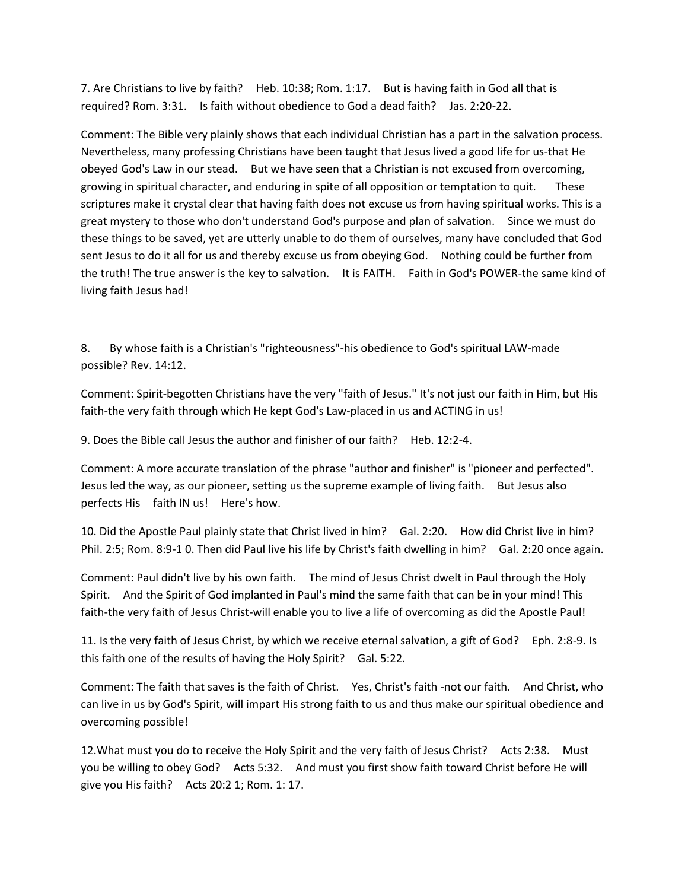7. Are Christians to live by faith? Heb. 10:38; Rom. 1:17. But is having faith in God all that is required? Rom. 3:31. Is faith without obedience to God a dead faith? Jas. 2:20-22.

Comment: The Bible very plainly shows that each individual Christian has a part in the salvation process. Nevertheless, many professing Christians have been taught that Jesus lived a good life for us-that He obeyed God's Law in our stead. But we have seen that a Christian is not excused from overcoming, growing in spiritual character, and enduring in spite of all opposition or temptation to quit. These scriptures make it crystal clear that having faith does not excuse us from having spiritual works. This is a great mystery to those who don't understand God's purpose and plan of salvation. Since we must do these things to be saved, yet are utterly unable to do them of ourselves, many have concluded that God sent Jesus to do it all for us and thereby excuse us from obeying God. Nothing could be further from the truth! The true answer is the key to salvation. It is FAITH. Faith in God's POWER-the same kind of living faith Jesus had!

8. By whose faith is a Christian's "righteousness"-his obedience to God's spiritual LAW-made possible? Rev. 14:12.

Comment: Spirit-begotten Christians have the very "faith of Jesus." It's not just our faith in Him, but His faith-the very faith through which He kept God's Law-placed in us and ACTING in us!

9. Does the Bible call Jesus the author and finisher of our faith? Heb. 12:2-4.

Comment: A more accurate translation of the phrase "author and finisher" is "pioneer and perfected". Jesus led the way, as our pioneer, setting us the supreme example of living faith. But Jesus also perfects His faith IN us! Here's how.

10. Did the Apostle Paul plainly state that Christ lived in him? Gal. 2:20. How did Christ live in him? Phil. 2:5; Rom. 8:9-1 0. Then did Paul live his life by Christ's faith dwelling in him? Gal. 2:20 once again.

Comment: Paul didn't live by his own faith. The mind of Jesus Christ dwelt in Paul through the Holy Spirit. And the Spirit of God implanted in Paul's mind the same faith that can be in your mind! This faith-the very faith of Jesus Christ-will enable you to live a life of overcoming as did the Apostle Paul!

11. Is the very faith of Jesus Christ, by which we receive eternal salvation, a gift of God? Eph. 2:8-9. Is this faith one of the results of having the Holy Spirit? Gal. 5:22.

Comment: The faith that saves is the faith of Christ. Yes, Christ's faith -not our faith. And Christ, who can live in us by God's Spirit, will impart His strong faith to us and thus make our spiritual obedience and overcoming possible!

12.What must you do to receive the Holy Spirit and the very faith of Jesus Christ? Acts 2:38. Must you be willing to obey God? Acts 5:32. And must you first show faith toward Christ before He will give you His faith? Acts 20:2 1; Rom. 1: 17.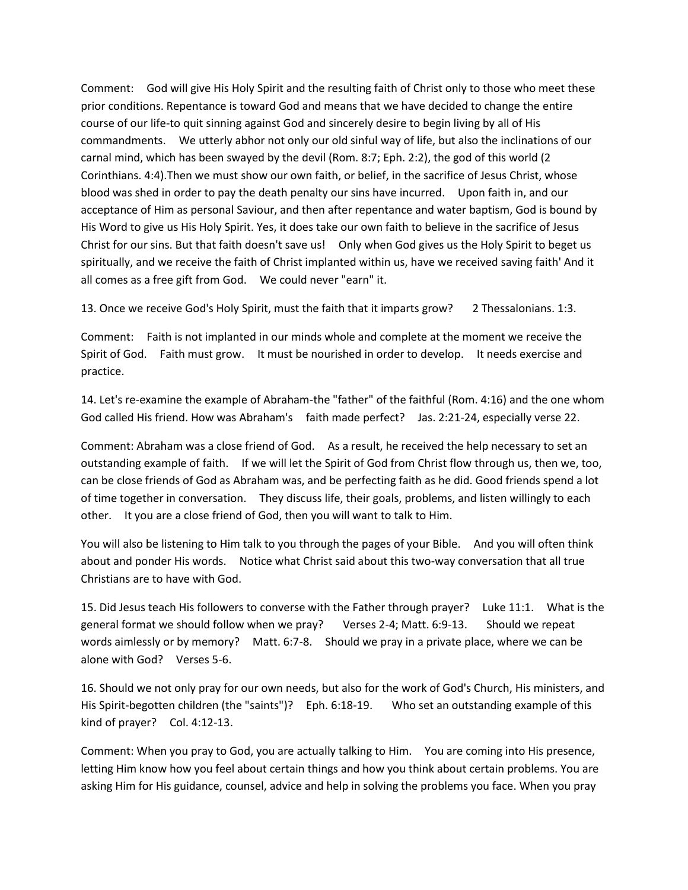Comment: God will give His Holy Spirit and the resulting faith of Christ only to those who meet these prior conditions. Repentance is toward God and means that we have decided to change the entire course of our life-to quit sinning against God and sincerely desire to begin living by all of His commandments. We utterly abhor not only our old sinful way of life, but also the inclinations of our carnal mind, which has been swayed by the devil (Rom. 8:7; Eph. 2:2), the god of this world (2 Corinthians. 4:4).Then we must show our own faith, or belief, in the sacrifice of Jesus Christ, whose blood was shed in order to pay the death penalty our sins have incurred. Upon faith in, and our acceptance of Him as personal Saviour, and then after repentance and water baptism, God is bound by His Word to give us His Holy Spirit. Yes, it does take our own faith to believe in the sacrifice of Jesus Christ for our sins. But that faith doesn't save us! Only when God gives us the Holy Spirit to beget us spiritually, and we receive the faith of Christ implanted within us, have we received saving faith' And it all comes as a free gift from God. We could never "earn" it.

13. Once we receive God's Holy Spirit, must the faith that it imparts grow? 2 Thessalonians. 1:3.

Comment: Faith is not implanted in our minds whole and complete at the moment we receive the Spirit of God. Faith must grow. It must be nourished in order to develop. It needs exercise and practice.

14. Let's re-examine the example of Abraham-the "father" of the faithful (Rom. 4:16) and the one whom God called His friend. How was Abraham's faith made perfect? Jas. 2:21-24, especially verse 22.

Comment: Abraham was a close friend of God. As a result, he received the help necessary to set an outstanding example of faith. If we will let the Spirit of God from Christ flow through us, then we, too, can be close friends of God as Abraham was, and be perfecting faith as he did. Good friends spend a lot of time together in conversation. They discuss life, their goals, problems, and listen willingly to each other. It you are a close friend of God, then you will want to talk to Him.

You will also be listening to Him talk to you through the pages of your Bible. And you will often think about and ponder His words. Notice what Christ said about this two-way conversation that all true Christians are to have with God.

15. Did Jesus teach His followers to converse with the Father through prayer? Luke 11:1. What is the general format we should follow when we pray? Verses 2-4; Matt. 6:9-13. Should we repeat words aimlessly or by memory? Matt. 6:7-8. Should we pray in a private place, where we can be alone with God? Verses 5-6.

16. Should we not only pray for our own needs, but also for the work of God's Church, His ministers, and His Spirit-begotten children (the "saints")? Eph. 6:18-19. Who set an outstanding example of this kind of prayer? Col. 4:12-13.

Comment: When you pray to God, you are actually talking to Him. You are coming into His presence, letting Him know how you feel about certain things and how you think about certain problems. You are asking Him for His guidance, counsel, advice and help in solving the problems you face. When you pray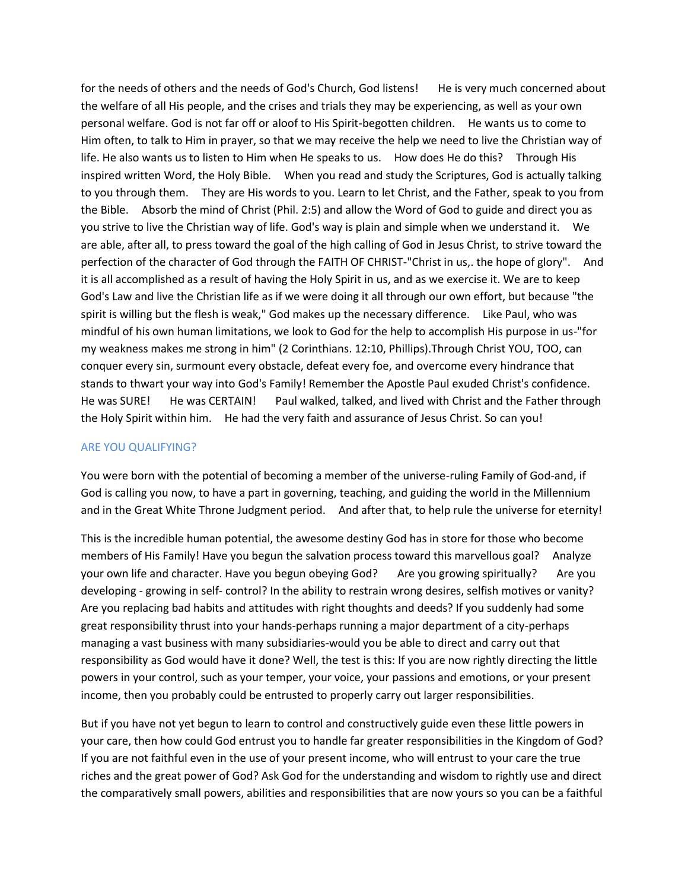for the needs of others and the needs of God's Church, God listens! He is very much concerned about the welfare of all His people, and the crises and trials they may be experiencing, as well as your own personal welfare. God is not far off or aloof to His Spirit-begotten children. He wants us to come to Him often, to talk to Him in prayer, so that we may receive the help we need to live the Christian way of life. He also wants us to listen to Him when He speaks to us. How does He do this? Through His inspired written Word, the Holy Bible. When you read and study the Scriptures, God is actually talking to you through them. They are His words to you. Learn to let Christ, and the Father, speak to you from the Bible. Absorb the mind of Christ (Phil. 2:5) and allow the Word of God to guide and direct you as you strive to live the Christian way of life. God's way is plain and simple when we understand it. We are able, after all, to press toward the goal of the high calling of God in Jesus Christ, to strive toward the perfection of the character of God through the FAITH OF CHRIST-"Christ in us,. the hope of glory". And it is all accomplished as a result of having the Holy Spirit in us, and as we exercise it. We are to keep God's Law and live the Christian life as if we were doing it all through our own effort, but because "the spirit is willing but the flesh is weak," God makes up the necessary difference. Like Paul, who was mindful of his own human limitations, we look to God for the help to accomplish His purpose in us-"for my weakness makes me strong in him" (2 Corinthians. 12:10, Phillips).Through Christ YOU, TOO, can conquer every sin, surmount every obstacle, defeat every foe, and overcome every hindrance that stands to thwart your way into God's Family! Remember the Apostle Paul exuded Christ's confidence. He was SURE! He was CERTAIN! Paul walked, talked, and lived with Christ and the Father through the Holy Spirit within him. He had the very faith and assurance of Jesus Christ. So can you!

#### ARE YOU QUALIFYING?

You were born with the potential of becoming a member of the universe-ruling Family of God-and, if God is calling you now, to have a part in governing, teaching, and guiding the world in the Millennium and in the Great White Throne Judgment period. And after that, to help rule the universe for eternity!

This is the incredible human potential, the awesome destiny God has in store for those who become members of His Family! Have you begun the salvation process toward this marvellous goal? Analyze your own life and character. Have you begun obeying God? Are you growing spiritually? Are you developing - growing in self- control? In the ability to restrain wrong desires, selfish motives or vanity? Are you replacing bad habits and attitudes with right thoughts and deeds? If you suddenly had some great responsibility thrust into your hands-perhaps running a major department of a city-perhaps managing a vast business with many subsidiaries-would you be able to direct and carry out that responsibility as God would have it done? Well, the test is this: If you are now rightly directing the little powers in your control, such as your temper, your voice, your passions and emotions, or your present income, then you probably could be entrusted to properly carry out larger responsibilities.

But if you have not yet begun to learn to control and constructively guide even these little powers in your care, then how could God entrust you to handle far greater responsibilities in the Kingdom of God? If you are not faithful even in the use of your present income, who will entrust to your care the true riches and the great power of God? Ask God for the understanding and wisdom to rightly use and direct the comparatively small powers, abilities and responsibilities that are now yours so you can be a faithful